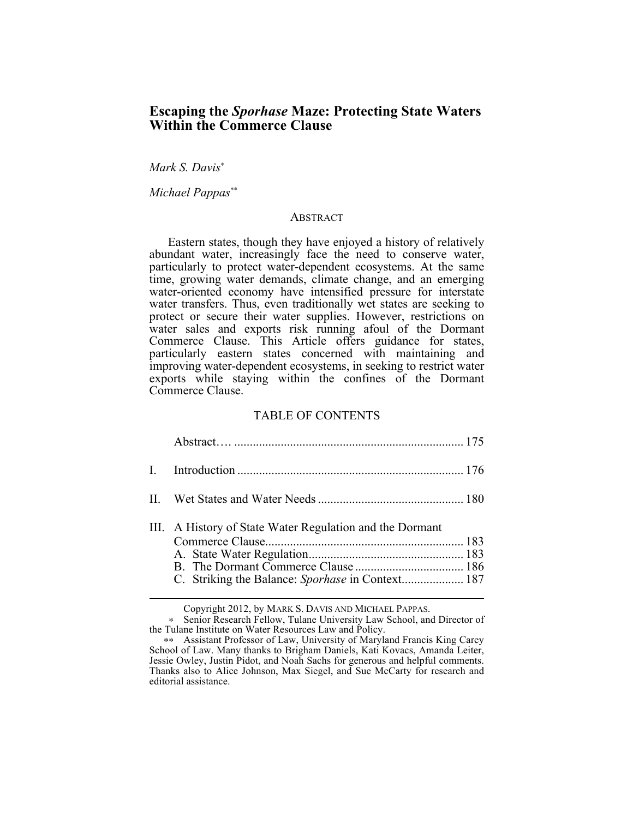# **Escaping the** *Sporhase* **Maze: Protecting State Waters Within the Commerce Clause**

*Mark S. Davis*<sup>∗</sup>

*Michael Pappas*∗∗

#### ABSTRACT

Eastern states, though they have enjoyed a history of relatively abundant water, increasingly face the need to conserve water, particularly to protect water-dependent ecosystems. At the same time, growing water demands, climate change, and an emerging water-oriented economy have intensified pressure for interstate water transfers. Thus, even traditionally wet states are seeking to protect or secure their water supplies. However, restrictions on water sales and exports risk running afoul of the Dormant Commerce Clause. This Article offers guidance for states, particularly eastern states concerned with maintaining and improving water-dependent ecosystems, in seeking to restrict water exports while staying within the confines of the Dormant Commerce Clause.

## TABLE OF CONTENTS

| III. A History of State Water Regulation and the Dormant |  |
|----------------------------------------------------------|--|

Copyright 2012, by MARK S. DAVIS AND MICHAEL PAPPAS.

<sup>∗</sup> Senior Research Fellow, Tulane University Law School, and Director of the Tulane Institute on Water Resources Law and Policy.

<sup>∗∗</sup> Assistant Professor of Law, University of Maryland Francis King Carey School of Law. Many thanks to Brigham Daniels, Kati Kovacs, Amanda Leiter, Jessie Owley, Justin Pidot, and Noah Sachs for generous and helpful comments. Thanks also to Alice Johnson, Max Siegel, and Sue McCarty for research and editorial assistance.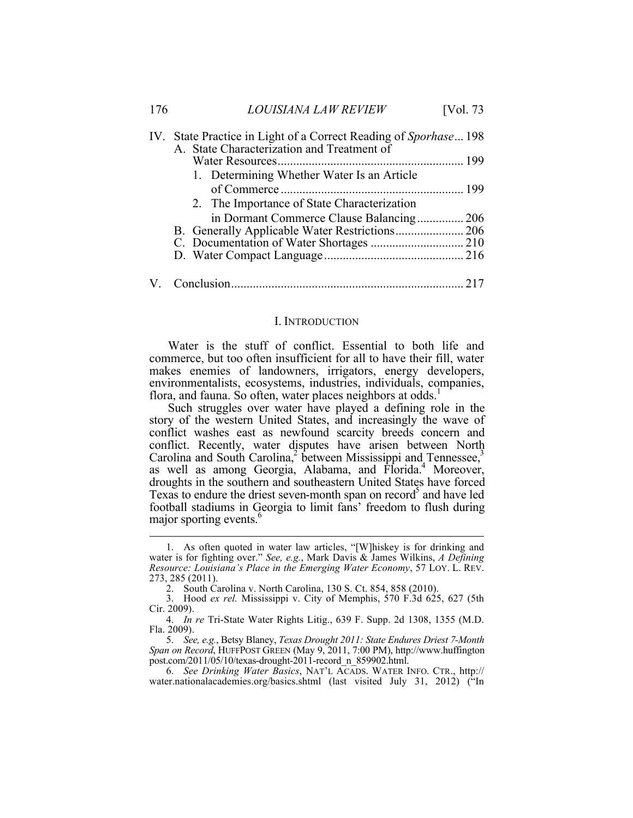| 176 | <b>LOUISIANA LAW REVIEW</b>                                      | [Vol. 73] |
|-----|------------------------------------------------------------------|-----------|
|     | IV. State Practice in Light of a Correct Reading of Sporhase 198 |           |
|     | A. State Characterization and Treatment of                       |           |
|     |                                                                  |           |
|     | 1. Determining Whether Water Is an Article                       |           |
|     |                                                                  |           |
|     | 2. The Importance of State Characterization                      |           |
|     |                                                                  |           |
|     |                                                                  |           |
|     |                                                                  |           |
|     |                                                                  |           |
|     |                                                                  |           |

#### I. INTRODUCTION

Water is the stuff of conflict. Essential to both life and commerce, but too often insufficient for all to have their fill, water makes enemies of landowners, irrigators, energy developers, environmentalists, ecosystems, industries, individuals, companies, flora, and fauna. So often, water places neighbors at odds.

Such struggles over water have played a defining role in the story of the western United States, and increasingly the wave of conflict washes east as newfound scarcity breeds concern and conflict. Recently, water disputes have arisen between North Carolina and South Carolina,<sup>2</sup> between Mississippi and Tennessee,<sup>3</sup> as well as among Georgia, Alabama, and Florida.<sup>4</sup> Moreover, droughts in the southern and southeastern United States have forced Texas to endure the driest seven-month span on record<sup>5</sup> and have led football stadiums in Georgia to limit fans' freedom to flush during major sporting events.<sup>4</sup>

5. *See, e.g.*, Betsy Blaney, *Texas Drought 2011: State Endures Driest 7-Month Span on Record*, HUFFPOST GREEN (May 9, 2011, 7:00 PM), http://www.huffington post.com/2011/05/10/texas-drought-2011-record\_n\_859902.html.

6. *See Drinking Water Basics*, NAT'L ACADS. WATER INFO. CTR., http:// water.nationalacademies.org/basics.shtml (last visited July 31, 2012) ("In

 <sup>1.</sup> As often quoted in water law articles, "[W]hiskey is for drinking and water is for fighting over." *See, e.g.*, Mark Davis & James Wilkins, *A Defining Resource: Louisiana's Place in the Emerging Water Economy*, 57 LOY. L. REV. 273, 285 (2011).

<sup>2.</sup> South Carolina v. North Carolina, 130 S. Ct. 854, 858 (2010).

<sup>3.</sup> Hood *ex rel.* Mississippi v. City of Memphis, 570 F.3d 625, 627 (5th Cir. 2009).

<sup>4.</sup> *In re* Tri-State Water Rights Litig., 639 F. Supp. 2d 1308, 1355 (M.D. Fla. 2009).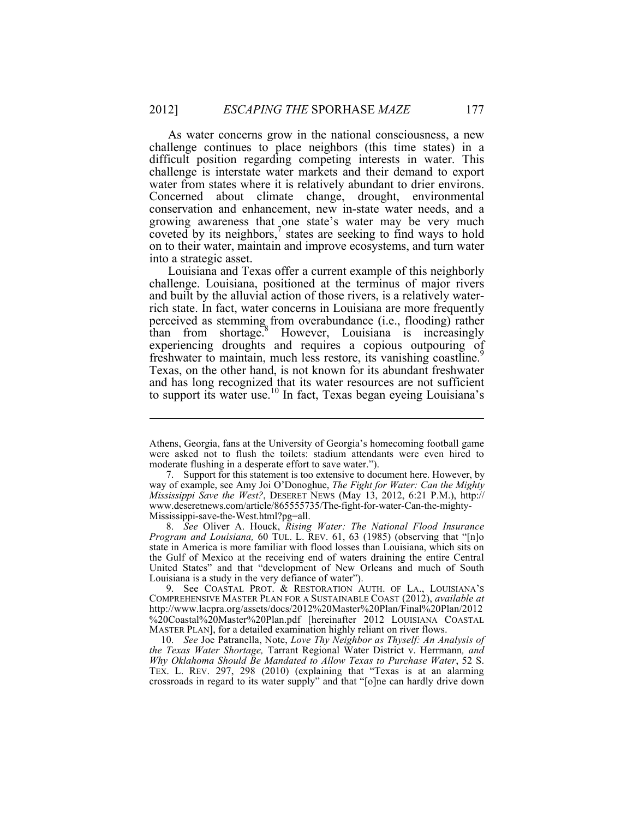As water concerns grow in the national consciousness, a new challenge continues to place neighbors (this time states) in a difficult position regarding competing interests in water. This challenge is interstate water markets and their demand to export water from states where it is relatively abundant to drier environs. Concerned about climate change, drought, environmental conservation and enhancement, new in-state water needs, and a growing awareness that one state's water may be very much coveted by its neighbors, $\frac{7}{1}$  states are seeking to find ways to hold on to their water, maintain and improve ecosystems, and turn water into a strategic asset.

Louisiana and Texas offer a current example of this neighborly challenge. Louisiana, positioned at the terminus of major rivers and built by the alluvial action of those rivers, is a relatively waterrich state. In fact, water concerns in Louisiana are more frequently perceived as stemming from overabundance (i.e., flooding) rather than from shortage.<sup>8</sup> However, Louisiana is increasingly experiencing droughts and requires a copious outpouring of freshwater to maintain, much less restore, its vanishing coastline.<sup>9</sup> Texas, on the other hand, is not known for its abundant freshwater and has long recognized that its water resources are not sufficient to support its water use.<sup>10</sup> In fact, Texas began eyeing Louisiana's

 $\overline{a}$ 

8. *See* Oliver A. Houck, *Rising Water: The National Flood Insurance Program and Louisiana,* 60 TUL. L. REV. 61, 63 (1985) (observing that "[n]o state in America is more familiar with flood losses than Louisiana, which sits on the Gulf of Mexico at the receiving end of waters draining the entire Central United States" and that "development of New Orleans and much of South Louisiana is a study in the very defiance of water").

9. See COASTAL PROT. & RESTORATION AUTH. OF LA., LOUISIANA'S COMPREHENSIVE MASTER PLAN FOR A SUSTAINABLE COAST (2012), *available at*  http://www.lacpra.org/assets/docs/2012%20Master%20Plan/Final%20Plan/2012 %20Coastal%20Master%20Plan.pdf [hereinafter 2012 LOUISIANA COASTAL MASTER PLAN], for a detailed examination highly reliant on river flows.

10. *See* Joe Patranella, Note, *Love Thy Neighbor as Thyself: An Analysis of the Texas Water Shortage,* Tarrant Regional Water District v. Herrmann*, and Why Oklahoma Should Be Mandated to Allow Texas to Purchase Water*, 52 S. TEX. L. REV. 297, 298 (2010) (explaining that "Texas is at an alarming crossroads in regard to its water supply" and that "[o]ne can hardly drive down

Athens, Georgia, fans at the University of Georgia's homecoming football game were asked not to flush the toilets: stadium attendants were even hired to moderate flushing in a desperate effort to save water.").

<sup>7.</sup> Support for this statement is too extensive to document here. However, by way of example, see Amy Joi O'Donoghue, *The Fight for Water: Can the Mighty Mississippi Save the West?*, DESERET NEWS (May 13, 2012, 6:21 P.M.), http:// www.deseretnews.com/article/865555735/The-fight-for-water-Can-the-mighty-Mississippi-save-the-West.html?pg=all.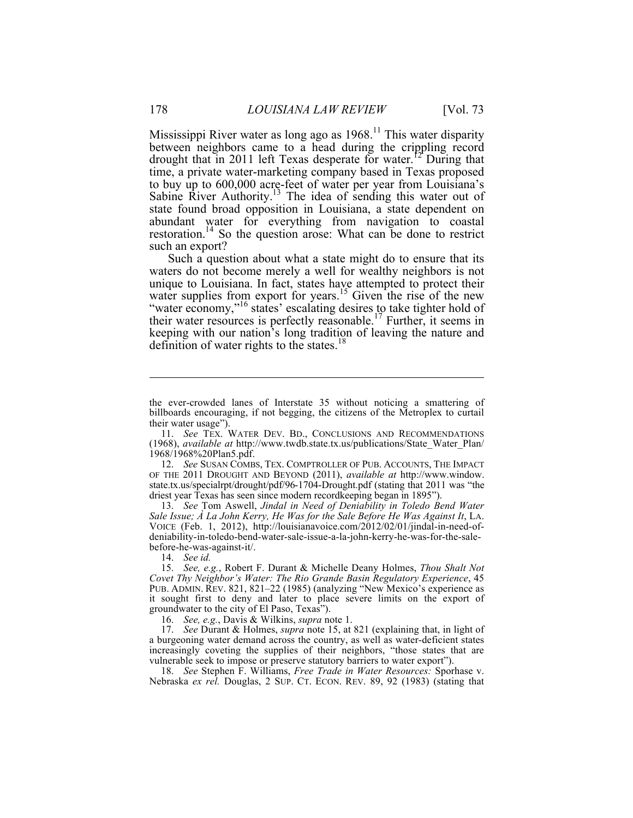Mississippi River water as long ago as  $1968$ <sup>11</sup> This water disparity between neighbors came to a head during the crippling record drought that in 2011 left Texas desperate for water.<sup>12</sup> During that time, a private water-marketing company based in Texas proposed to buy up to 600,000 acre-feet of water per year from Louisiana's Sabine River Authority.<sup>13</sup> The idea of sending this water out of state found broad opposition in Louisiana, a state dependent on abundant water for everything from navigation to coastal restoration.14 So the question arose: What can be done to restrict such an export?

Such a question about what a state might do to ensure that its waters do not become merely a well for wealthy neighbors is not unique to Louisiana. In fact, states have attempted to protect their water supplies from export for years.<sup>15</sup> Given the rise of the new "water economy,"<sup>16</sup> states' escalating desires to take tighter hold of their water resources is perfectly reasonable.<sup>17</sup> Further, it seems in keeping with our nation's long tradition of leaving the nature and definition of water rights to the states.<sup>18</sup>

12. *See* SUSAN COMBS, TEX. COMPTROLLER OF PUB. ACCOUNTS, THE IMPACT OF THE 2011 DROUGHT AND BEYOND (2011), *available at* http://www.window. state.tx.us/specialrpt/drought/pdf/96-1704-Drought.pdf (stating that 2011 was "the driest year Texas has seen since modern recordkeeping began in 1895").

13. *See* Tom Aswell, *Jindal in Need of Deniability in Toledo Bend Water Sale Issue; À La John Kerry, He Was for the Sale Before He Was Against It*, LA. VOICE (Feb. 1, 2012), http://louisianavoice.com/2012/02/01/jindal-in-need-ofdeniability-in-toledo-bend-water-sale-issue-a-la-john-kerry-he-was-for-the-salebefore-he-was-against-it/.

14. *See id.*

15. *See, e.g.*, Robert F. Durant & Michelle Deany Holmes, *Thou Shalt Not Covet Thy Neighbor's Water: The Rio Grande Basin Regulatory Experience*, 45 PUB. ADMIN. REV. 821, 821–22 (1985) (analyzing "New Mexico's experience as it sought first to deny and later to place severe limits on the export of groundwater to the city of El Paso, Texas").

16. *See, e.g.*, Davis & Wilkins, *supra* note 1.

17. *See* Durant & Holmes, *supra* note 15, at 821 (explaining that, in light of a burgeoning water demand across the country, as well as water-deficient states increasingly coveting the supplies of their neighbors, "those states that are vulnerable seek to impose or preserve statutory barriers to water export").

18. *See* Stephen F. Williams, *Free Trade in Water Resources:* Sporhase v. Nebraska *ex rel.* Douglas, 2 SUP. CT. ECON. REV. 89, 92 (1983) (stating that

 $\overline{a}$ 

the ever-crowded lanes of Interstate 35 without noticing a smattering of billboards encouraging, if not begging, the citizens of the Metroplex to curtail their water usage").

<sup>11.</sup> *See* TEX. WATER DEV. BD., CONCLUSIONS AND RECOMMENDATIONS (1968), *available at* http://www.twdb.state.tx.us/publications/State\_Water\_Plan/ 1968/1968%20Plan5.pdf.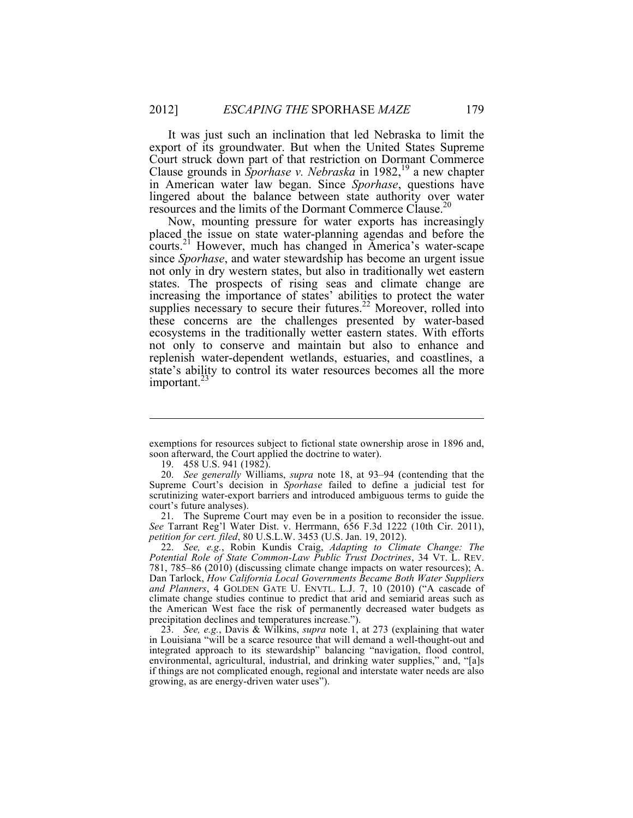It was just such an inclination that led Nebraska to limit the export of its groundwater. But when the United States Supreme Court struck down part of that restriction on Dormant Commerce Clause grounds in *Sporhase v. Nebraska* in 1982, <sup>19</sup> a new chapter in American water law began. Since *Sporhase*, questions have lingered about the balance between state authority over water resources and the limits of the Dormant Commerce Clause.<sup>20</sup>

Now, mounting pressure for water exports has increasingly placed the issue on state water-planning agendas and before the courts.<sup>21</sup> However, much has changed in America's water-scape since *Sporhase*, and water stewardship has become an urgent issue not only in dry western states, but also in traditionally wet eastern states. The prospects of rising seas and climate change are increasing the importance of states' abilities to protect the water supplies necessary to secure their futures.<sup>22</sup> Moreover, rolled into these concerns are the challenges presented by water-based ecosystems in the traditionally wetter eastern states. With efforts not only to conserve and maintain but also to enhance and replenish water-dependent wetlands, estuaries, and coastlines, a state's ability to control its water resources becomes all the more important. $23$ 

 $\overline{a}$ 

exemptions for resources subject to fictional state ownership arose in 1896 and, soon afterward, the Court applied the doctrine to water).

<sup>19.</sup> 458 U.S. 941 (1982).

<sup>20.</sup> *See generally* Williams, *supra* note 18, at 93–94 (contending that the Supreme Court's decision in *Sporhase* failed to define a judicial test for scrutinizing water-export barriers and introduced ambiguous terms to guide the court's future analyses).

<sup>21.</sup> The Supreme Court may even be in a position to reconsider the issue. *See* Tarrant Reg'l Water Dist. v. Herrmann, 656 F.3d 1222 (10th Cir. 2011), *petition for cert. filed*, 80 U.S.L.W. 3453 (U.S. Jan. 19, 2012).

<sup>22.</sup> *See, e.g.*, Robin Kundis Craig, *Adapting to Climate Change: The Potential Role of State Common-Law Public Trust Doctrines*, 34 VT. L. REV. 781, 785–86 (2010) (discussing climate change impacts on water resources); A. Dan Tarlock, *How California Local Governments Became Both Water Suppliers and Planners*, 4 GOLDEN GATE U. ENVTL. L.J. 7, 10 (2010) ("A cascade of climate change studies continue to predict that arid and semiarid areas such as the American West face the risk of permanently decreased water budgets as precipitation declines and temperatures increase.").

<sup>23.</sup> *See, e.g.*, Davis & Wilkins, *supra* note 1, at 273 (explaining that water in Louisiana "will be a scarce resource that will demand a well-thought-out and integrated approach to its stewardship" balancing "navigation, flood control, environmental, agricultural, industrial, and drinking water supplies," and, "[a]s if things are not complicated enough, regional and interstate water needs are also growing, as are energy-driven water uses").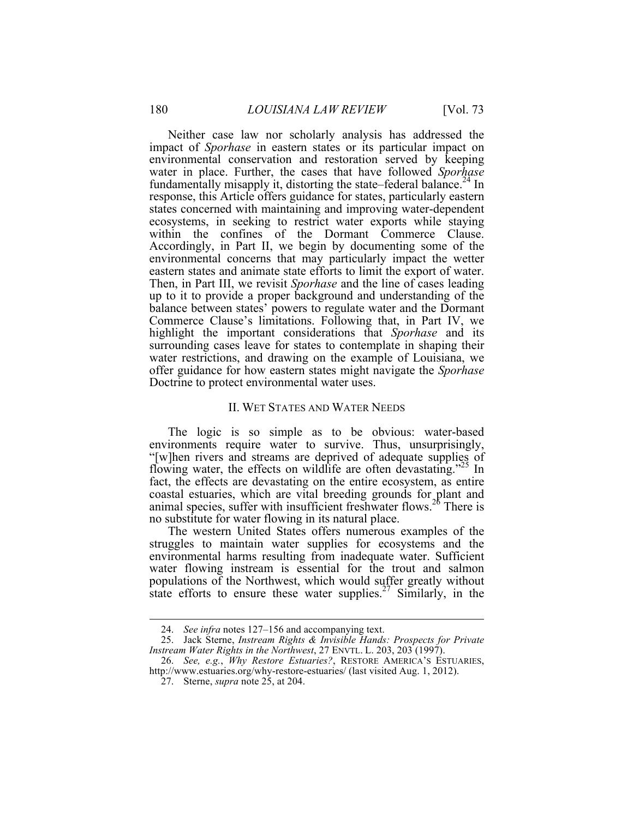Neither case law nor scholarly analysis has addressed the impact of *Sporhase* in eastern states or its particular impact on environmental conservation and restoration served by keeping water in place. Further, the cases that have followed *Sporhase* fundamentally misapply it, distorting the state–federal balance.<sup>24</sup> In response, this Article offers guidance for states, particularly eastern states concerned with maintaining and improving water-dependent ecosystems, in seeking to restrict water exports while staying within the confines of the Dormant Commerce Clause. Accordingly, in Part II, we begin by documenting some of the environmental concerns that may particularly impact the wetter eastern states and animate state efforts to limit the export of water. Then, in Part III, we revisit *Sporhase* and the line of cases leading up to it to provide a proper background and understanding of the balance between states' powers to regulate water and the Dormant Commerce Clause's limitations. Following that, in Part IV, we highlight the important considerations that *Sporhase* and its surrounding cases leave for states to contemplate in shaping their water restrictions, and drawing on the example of Louisiana, we offer guidance for how eastern states might navigate the *Sporhase* Doctrine to protect environmental water uses.

#### II. WET STATES AND WATER NEEDS

The logic is so simple as to be obvious: water-based environments require water to survive. Thus, unsurprisingly, "[w]hen rivers and streams are deprived of adequate supplies of flowing water, the effects on wildlife are often devastating."<sup>25</sup> In fact, the effects are devastating on the entire ecosystem, as entire coastal estuaries, which are vital breeding grounds for plant and animal species, suffer with insufficient freshwater flows.<sup>26</sup> There is no substitute for water flowing in its natural place.

The western United States offers numerous examples of the struggles to maintain water supplies for ecosystems and the environmental harms resulting from inadequate water. Sufficient water flowing instream is essential for the trout and salmon populations of the Northwest, which would suffer greatly without state efforts to ensure these water supplies.<sup>27</sup> Similarly, in the

 <sup>24.</sup> *See infra* notes 127–156 and accompanying text.

<sup>25.</sup> Jack Sterne, *Instream Rights & Invisible Hands: Prospects for Private Instream Water Rights in the Northwest*, 27 ENVTL. L. 203, 203 (1997).

<sup>26.</sup> *See, e.g.*, *Why Restore Estuaries?*, RESTORE AMERICA'S ESTUARIES, http://www.estuaries.org/why-restore-estuaries/ (last visited Aug. 1, 2012).

<sup>27.</sup> Sterne, *supra* note 25, at 204.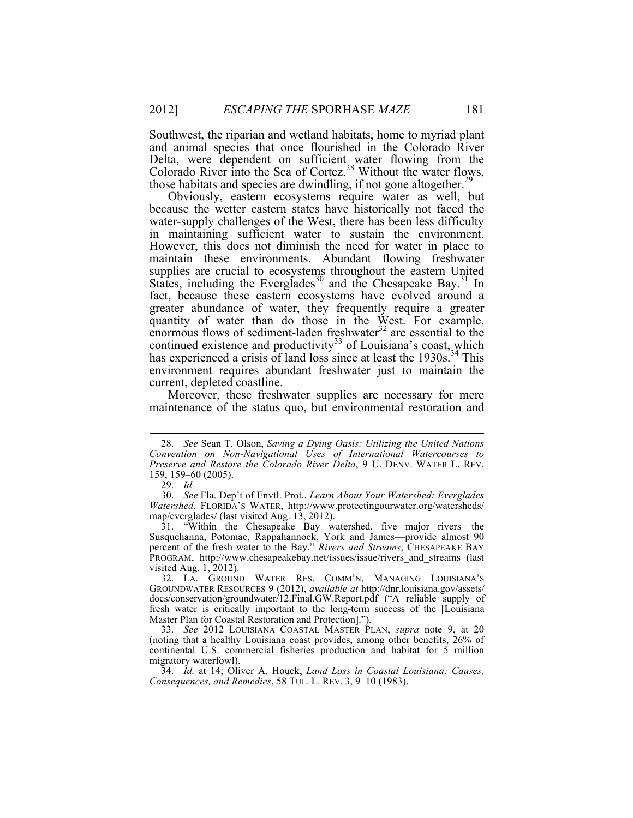Southwest, the riparian and wetland habitats, home to myriad plant and animal species that once flourished in the Colorado River Delta, were dependent on sufficient water flowing from the Colorado River into the Sea of Cortez.<sup>28</sup> Without the water flows, those habitats and species are dwindling, if not gone altogether.<sup>29</sup>

Obviously, eastern ecosystems require water as well, but because the wetter eastern states have historically not faced the water-supply challenges of the West, there has been less difficulty in maintaining sufficient water to sustain the environment. However, this does not diminish the need for water in place to maintain these environments. Abundant flowing freshwater supplies are crucial to ecosystems throughout the eastern United States, including the Everglades<sup>30</sup> and the Chesapeake Bay.<sup>31</sup> In fact, because these eastern ecosystems have evolved around a greater abundance of water, they frequently require a greater quantity of water than do those in the West. For example, enormous flows of sediment-laden freshwater $3^2$  are essential to the continued existence and productivity<sup>33</sup> of Louisiana's coast, which has experienced a crisis of land loss since at least the 1930s.<sup>34</sup> This environment requires abundant freshwater just to maintain the current, depleted coastline.

Moreover, these freshwater supplies are necessary for mere maintenance of the status quo, but environmental restoration and

 <sup>28.</sup> *See* Sean T. Olson, *Saving a Dying Oasis: Utilizing the United Nations Convention on Non-Navigational Uses of International Watercourses to Preserve and Restore the Colorado River Delta*, 9 U. DENV. WATER L. REV. 159, 159–60 (2005).

<sup>29.</sup> *Id.*

<sup>30.</sup> *See* Fla. Dep't of Envtl. Prot., *Learn About Your Watershed: Everglades Watershed*, FLORIDA'S WATER, http://www.protectingourwater.org/watersheds/ map/everglades/ (last visited Aug. 13, 2012).

<sup>31.</sup> "Within the Chesapeake Bay watershed, five major rivers—the Susquehanna, Potomac, Rappahannock, York and James—provide almost 90 percent of the fresh water to the Bay." *Rivers and Streams*, CHESAPEAKE BAY PROGRAM, http://www.chesapeakebay.net/issues/issue/rivers\_and\_streams (last visited Aug. 1, 2012).

<sup>32.</sup> LA. GROUND WATER RES. COMM'N, MANAGING LOUISIANA'S GROUNDWATER RESOURCES 9 (2012), *available at* http://dnr.louisiana.gov/assets/ docs/conservation/groundwater/12.Final.GW.Report.pdf ("A reliable supply of fresh water is critically important to the long-term success of the [Louisiana Master Plan for Coastal Restoration and Protection].").

<sup>33.</sup> *See* 2012 LOUISIANA COASTAL MASTER PLAN, *supra* note 9, at 20 (noting that a healthy Louisiana coast provides, among other benefits, 26% of continental U.S. commercial fisheries production and habitat for 5 million migratory waterfowl).

<sup>34.</sup> *Id.* at 14; Oliver A. Houck, *Land Loss in Coastal Louisiana: Causes, Consequences, and Remedies*, 58 TUL. L. REV. 3, 9–10 (1983).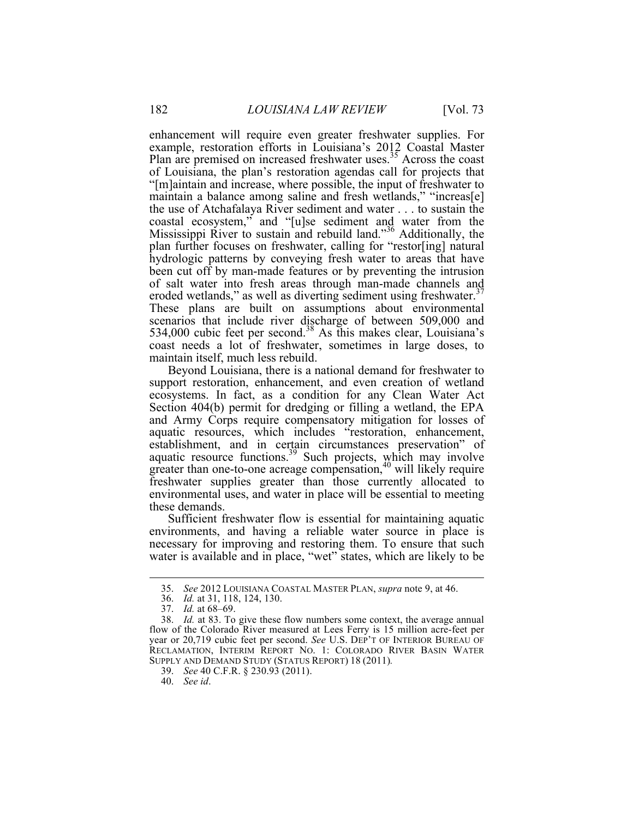enhancement will require even greater freshwater supplies. For example, restoration efforts in Louisiana's 2012 Coastal Master Plan are premised on increased freshwater uses.<sup>35</sup> Across the coast of Louisiana, the plan's restoration agendas call for projects that "[m]aintain and increase, where possible, the input of freshwater to maintain a balance among saline and fresh wetlands," "increas[e] the use of Atchafalaya River sediment and water . . . to sustain the coastal ecosystem," and "[u]se sediment and water from the Mississippi River to sustain and rebuild land."<sup>36</sup> Additionally, the plan further focuses on freshwater, calling for "restor[ing] natural hydrologic patterns by conveying fresh water to areas that have been cut off by man-made features or by preventing the intrusion of salt water into fresh areas through man-made channels and eroded wetlands," as well as diverting sediment using freshwater. $37$ These plans are built on assumptions about environmental scenarios that include river discharge of between 509,000 and 534,000 cubic feet per second.<sup>38</sup> As this makes clear, Louisiana's coast needs a lot of freshwater, sometimes in large doses, to maintain itself, much less rebuild.

Beyond Louisiana, there is a national demand for freshwater to support restoration, enhancement, and even creation of wetland ecosystems. In fact, as a condition for any Clean Water Act Section 404(b) permit for dredging or filling a wetland, the EPA and Army Corps require compensatory mitigation for losses of aquatic resources, which includes "restoration, enhancement, establishment, and in certain circumstances preservation" of aquatic resource functions. $39$  Such projects, which may involve greater than one-to-one acreage compensation, $40$  will likely require freshwater supplies greater than those currently allocated to environmental uses, and water in place will be essential to meeting these demands.

Sufficient freshwater flow is essential for maintaining aquatic environments, and having a reliable water source in place is necessary for improving and restoring them. To ensure that such water is available and in place, "wet" states, which are likely to be

 <sup>35.</sup> *See* <sup>2012</sup> LOUISIANA COASTAL MASTER PLAN, *supra* note 9, at 46.

<sup>36.</sup> *Id.* at 31, 118, 124, 130.

<sup>37.</sup> *Id.* at 68–69.

<sup>38.</sup> *Id.* at 83. To give these flow numbers some context, the average annual flow of the Colorado River measured at Lees Ferry is 15 million acre-feet per year or 20,719 cubic feet per second. *See* U.S. DEP'T OF INTERIOR BUREAU OF RECLAMATION, INTERIM REPORT NO. 1: COLORADO RIVER BASIN WATER SUPPLY AND DEMAND STUDY (STATUS REPORT) 18 (2011)*.*

<sup>39.</sup> *See* 40 C.F.R. § 230.93 (2011).

<sup>40.</sup> *See id*.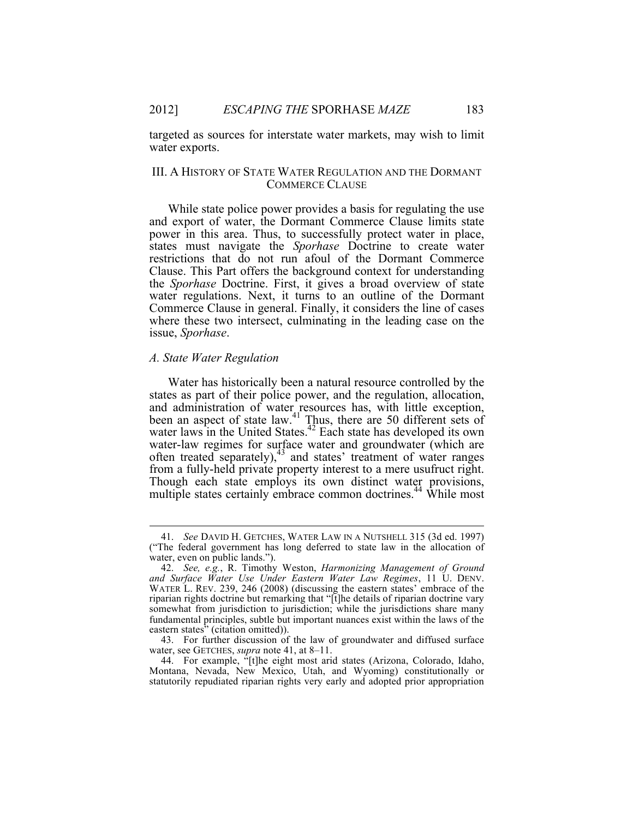targeted as sources for interstate water markets, may wish to limit water exports.

## III. A HISTORY OF STATE WATER REGULATION AND THE DORMANT COMMERCE CLAUSE

While state police power provides a basis for regulating the use and export of water, the Dormant Commerce Clause limits state power in this area. Thus, to successfully protect water in place, states must navigate the *Sporhase* Doctrine to create water restrictions that do not run afoul of the Dormant Commerce Clause. This Part offers the background context for understanding the *Sporhase* Doctrine. First, it gives a broad overview of state water regulations. Next, it turns to an outline of the Dormant Commerce Clause in general. Finally, it considers the line of cases where these two intersect, culminating in the leading case on the issue, *Sporhase*.

### *A. State Water Regulation*

Water has historically been a natural resource controlled by the states as part of their police power, and the regulation, allocation, and administration of water resources has, with little exception, been an aspect of state law.<sup>41</sup> Thus, there are 50 different sets of water laws in the United States.<sup>42</sup> Each state has developed its own water-law regimes for surface water and groundwater (which are often treated separately),<sup>43</sup> and states' treatment of water ranges from a fully-held private property interest to a mere usufruct right. Though each state employs its own distinct water provisions, multiple states certainly embrace common doctrines.<sup>44</sup> While most

 <sup>41.</sup> *See* DAVID H. GETCHES, WATER LAW IN A NUTSHELL 315 (3d ed. 1997) ("The federal government has long deferred to state law in the allocation of water, even on public lands.").

<sup>42.</sup> *See, e.g.*, R. Timothy Weston, *Harmonizing Management of Ground and Surface Water Use Under Eastern Water Law Regimes*, 11 U. DENV. WATER L. REV. 239, 246 (2008) (discussing the eastern states' embrace of the riparian rights doctrine but remarking that "[t]he details of riparian doctrine vary somewhat from jurisdiction to jurisdiction; while the jurisdictions share many fundamental principles, subtle but important nuances exist within the laws of the eastern states<sup>"</sup> (citation omitted)).

<sup>43.</sup> For further discussion of the law of groundwater and diffused surface water, see GETCHES, *supra* note 41, at 8–11.

<sup>44.</sup> For example, "[t]he eight most arid states (Arizona, Colorado, Idaho, Montana, Nevada, New Mexico, Utah, and Wyoming) constitutionally or statutorily repudiated riparian rights very early and adopted prior appropriation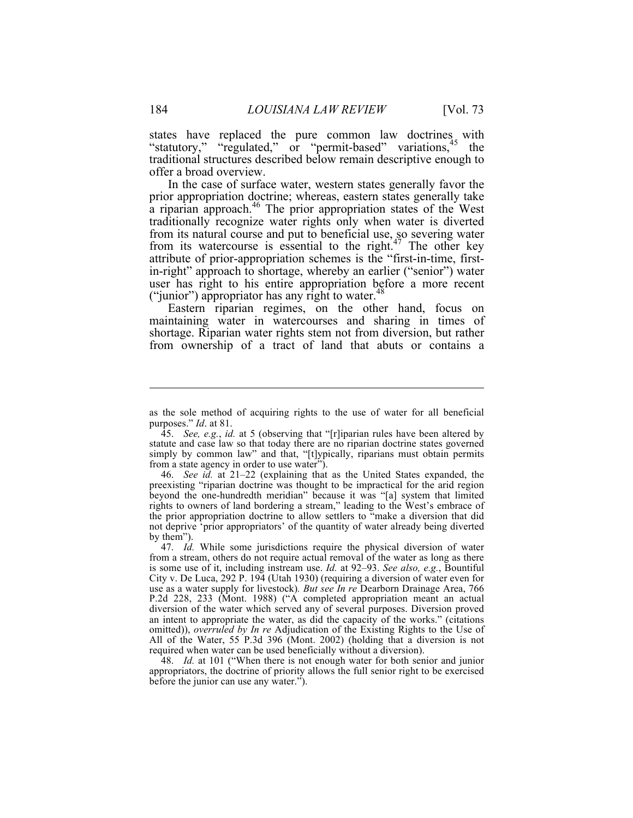states have replaced the pure common law doctrines with "statutory," "regulated," or "permit-based" variations,<sup>45</sup> the traditional structures described below remain descriptive enough to offer a broad overview.

In the case of surface water, western states generally favor the prior appropriation doctrine; whereas, eastern states generally take a riparian approach.<sup>46</sup> The prior appropriation states of the West traditionally recognize water rights only when water is diverted from its natural course and put to beneficial use, so severing water from its watercourse is essential to the right.<sup>47</sup> The other key attribute of prior-appropriation schemes is the "first-in-time, firstin-right" approach to shortage, whereby an earlier ("senior") water user has right to his entire appropriation before a more recent ("junior") appropriator has any right to water.<sup>48</sup>

Eastern riparian regimes, on the other hand, focus on maintaining water in watercourses and sharing in times of shortage. Riparian water rights stem not from diversion, but rather from ownership of a tract of land that abuts or contains a

46. *See id.* at 21–22 (explaining that as the United States expanded, the preexisting "riparian doctrine was thought to be impractical for the arid region beyond the one-hundredth meridian" because it was "[a] system that limited rights to owners of land bordering a stream," leading to the West's embrace of the prior appropriation doctrine to allow settlers to "make a diversion that did not deprive 'prior appropriators' of the quantity of water already being diverted by them").

48. *Id.* at 101 ("When there is not enough water for both senior and junior appropriators, the doctrine of priority allows the full senior right to be exercised before the junior can use any water.").

 $\overline{a}$ 

as the sole method of acquiring rights to the use of water for all beneficial purposes." *Id*. at 81.

<sup>45.</sup> *See, e.g.*, *id.* at 5 (observing that "[r]iparian rules have been altered by statute and case law so that today there are no riparian doctrine states governed simply by common law" and that, "[t]ypically, riparians must obtain permits from a state agency in order to use water").

<sup>47.</sup> *Id.* While some jurisdictions require the physical diversion of water from a stream, others do not require actual removal of the water as long as there is some use of it, including instream use. *Id.* at 92–93. *See also, e.g.*, Bountiful City v. De Luca, 292 P. 194 (Utah 1930) (requiring a diversion of water even for use as a water supply for livestock)*. But see In re* Dearborn Drainage Area, 766 P.2d 228, 233 (Mont. 1988) ("A completed appropriation meant an actual diversion of the water which served any of several purposes. Diversion proved an intent to appropriate the water, as did the capacity of the works." (citations omitted)), *overruled by In re* Adjudication of the Existing Rights to the Use of All of the Water, 55 P.3d 396 (Mont. 2002) (holding that a diversion is not required when water can be used beneficially without a diversion).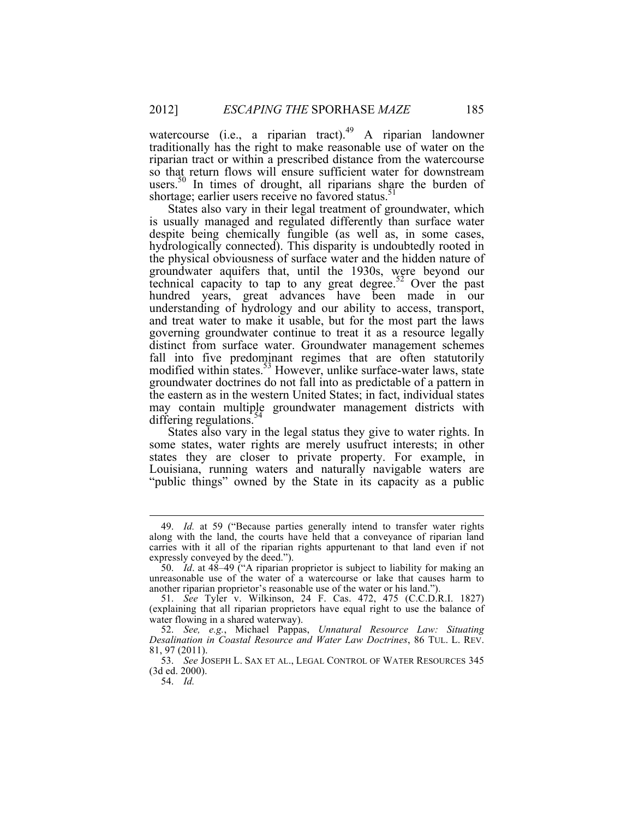watercourse (i.e., a riparian tract). $49$  A riparian landowner traditionally has the right to make reasonable use of water on the riparian tract or within a prescribed distance from the watercourse so that return flows will ensure sufficient water for downstream users.<sup>50</sup> In times of drought, all riparians share the burden of shortage; earlier users receive no favored status.<sup>31</sup>

States also vary in their legal treatment of groundwater, which is usually managed and regulated differently than surface water despite being chemically fungible (as well as, in some cases, hydrologically connected). This disparity is undoubtedly rooted in the physical obviousness of surface water and the hidden nature of groundwater aquifers that, until the 1930s, were beyond our technical capacity to tap to any great degree.<sup>52</sup> Over the past hundred years, great advances have been made in our understanding of hydrology and our ability to access, transport, and treat water to make it usable, but for the most part the laws governing groundwater continue to treat it as a resource legally distinct from surface water. Groundwater management schemes fall into five predominant regimes that are often statutorily modified within states.<sup>53</sup> However, unlike surface-water laws, state groundwater doctrines do not fall into as predictable of a pattern in the eastern as in the western United States; in fact, individual states may contain multiple groundwater management districts with differing regulations.<sup>5</sup>

States also vary in the legal status they give to water rights. In some states, water rights are merely usufruct interests; in other states they are closer to private property. For example, in Louisiana, running waters and naturally navigable waters are "public things" owned by the State in its capacity as a public

 <sup>49.</sup> *Id.* at 59 ("Because parties generally intend to transfer water rights along with the land, the courts have held that a conveyance of riparian land carries with it all of the riparian rights appurtenant to that land even if not expressly conveyed by the deed.").

<sup>50.</sup> *Id*. at 48–49 ("A riparian proprietor is subject to liability for making an unreasonable use of the water of a watercourse or lake that causes harm to another riparian proprietor's reasonable use of the water or his land.").

<sup>51.</sup> *See* Tyler v. Wilkinson, 24 F. Cas. 472, 475 (C.C.D.R.I. 1827) (explaining that all riparian proprietors have equal right to use the balance of water flowing in a shared waterway).

<sup>52.</sup> *See, e.g.*, Michael Pappas, *Unnatural Resource Law: Situating Desalination in Coastal Resource and Water Law Doctrines*, 86 TUL. L. REV. 81, 97 (2011).

<sup>53.</sup> *See* JOSEPH L. SAX ET AL., LEGAL CONTROL OF WATER RESOURCES 345 (3d ed. 2000).

<sup>54.</sup> *Id.*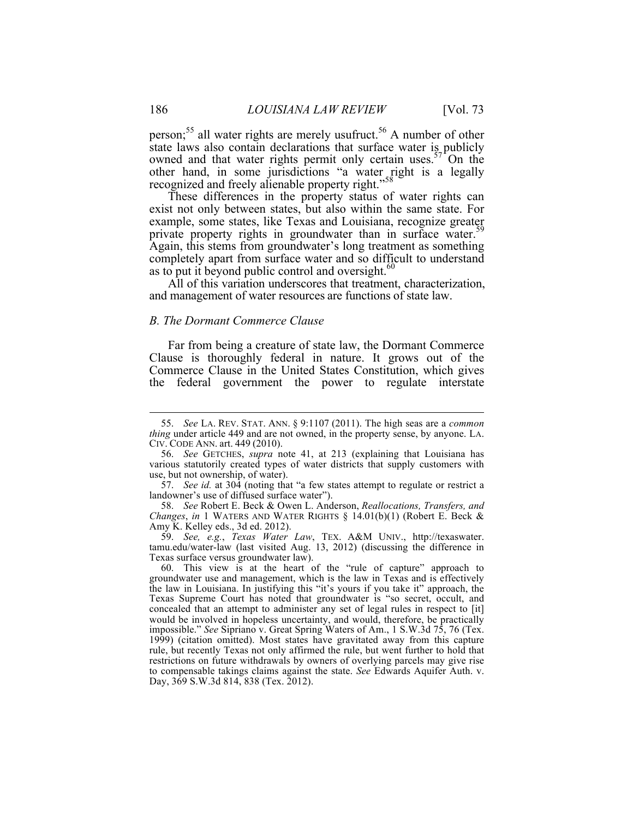person;<sup>55</sup> all water rights are merely usufruct.<sup>56</sup> A number of other state laws also contain declarations that surface water is publicly owned and that water rights permit only certain uses. $57^{\circ}$ On the other hand, in some jurisdictions "a water right is a legally recognized and freely alienable property right."<sup>58</sup>

These differences in the property status of water rights can exist not only between states, but also within the same state. For example, some states, like Texas and Louisiana, recognize greater private property rights in groundwater than in surface water.<sup>59</sup> Again, this stems from groundwater's long treatment as something completely apart from surface water and so difficult to understand as to put it beyond public control and oversight. $\frac{60}{100}$ 

All of this variation underscores that treatment, characterization, and management of water resources are functions of state law.

### *B. The Dormant Commerce Clause*

Far from being a creature of state law, the Dormant Commerce Clause is thoroughly federal in nature. It grows out of the Commerce Clause in the United States Constitution, which gives the federal government the power to regulate interstate

 <sup>55.</sup> *See* LA. REV. STAT. ANN. § 9:1107 (2011). The high seas are a *common thing* under article 449 and are not owned, in the property sense, by anyone. LA. CIV. CODE ANN. art. 449 (2010).

<sup>56.</sup> *See* GETCHES, *supra* note 41, at 213 (explaining that Louisiana has various statutorily created types of water districts that supply customers with use, but not ownership, of water).

<sup>57.</sup> *See id.* at 304 (noting that "a few states attempt to regulate or restrict a landowner's use of diffused surface water").

<sup>58.</sup> *See* Robert E. Beck & Owen L. Anderson, *Reallocations, Transfers, and Changes*, *in* 1 WATERS AND WATER RIGHTS § 14.01(b)(1) (Robert E. Beck & Amy K. Kelley eds., 3d ed. 2012).

<sup>59.</sup> *See, e.g.*, *Texas Water Law*, TEX. A&M UNIV., http://texaswater. tamu.edu/water-law (last visited Aug. 13, 2012) (discussing the difference in Texas surface versus groundwater law).

<sup>60.</sup> This view is at the heart of the "rule of capture" approach to groundwater use and management, which is the law in Texas and is effectively the law in Louisiana. In justifying this "it's yours if you take it" approach, the Texas Supreme Court has noted that groundwater is "so secret, occult, and concealed that an attempt to administer any set of legal rules in respect to [it] would be involved in hopeless uncertainty, and would, therefore, be practically impossible." *See* Sipriano v. Great Spring Waters of Am., 1 S.W.3d 75, 76 (Tex. 1999) (citation omitted). Most states have gravitated away from this capture rule, but recently Texas not only affirmed the rule, but went further to hold that restrictions on future withdrawals by owners of overlying parcels may give rise to compensable takings claims against the state. *See* Edwards Aquifer Auth. v. Day, 369 S.W.3d 814, 838 (Tex. 2012).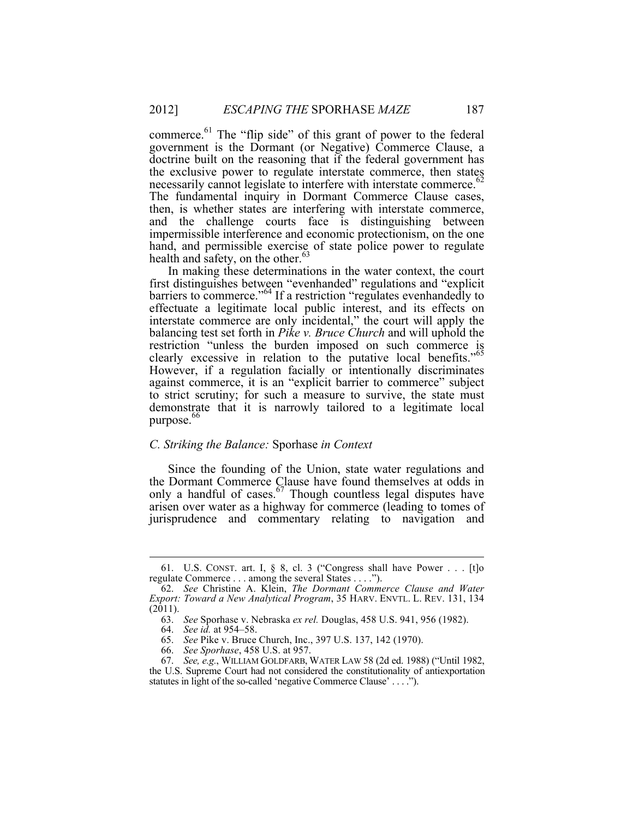commerce.<sup>61</sup> The "flip side" of this grant of power to the federal government is the Dormant (or Negative) Commerce Clause, a doctrine built on the reasoning that if the federal government has the exclusive power to regulate interstate commerce, then states necessarily cannot legislate to interfere with interstate commerce.<sup>62</sup> The fundamental inquiry in Dormant Commerce Clause cases, then, is whether states are interfering with interstate commerce, and the challenge courts face is distinguishing between impermissible interference and economic protectionism, on the one hand, and permissible exercise of state police power to regulate health and safety, on the other. 63

In making these determinations in the water context, the court first distinguishes between "evenhanded" regulations and "explicit barriers to commerce."<sup>64</sup> If a restriction "regulates evenhandedly to effectuate a legitimate local public interest, and its effects on interstate commerce are only incidental," the court will apply the balancing test set forth in *Pike v. Bruce Church* and will uphold the restriction "unless the burden imposed on such commerce is clearly excessive in relation to the putative local benefits."<sup>65</sup> However, if a regulation facially or intentionally discriminates against commerce, it is an "explicit barrier to commerce" subject to strict scrutiny; for such a measure to survive, the state must demonstrate that it is narrowly tailored to a legitimate local purpose.<sup>66</sup>

#### *C. Striking the Balance:* Sporhase *in Context*

Since the founding of the Union, state water regulations and the Dormant Commerce Clause have found themselves at odds in only a handful of cases.  $67$  Though countless legal disputes have arisen over water as a highway for commerce (leading to tomes of jurisprudence and commentary relating to navigation and

 <sup>61.</sup> U.S. CONST. art. I, § 8, cl. 3 ("Congress shall have Power . . . [t]o regulate Commerce . . . among the several States . . . .").

<sup>62.</sup> *See* Christine A. Klein, *The Dormant Commerce Clause and Water Export: Toward a New Analytical Program*, 35 HARV. ENVTL. L. REV. 131, 134 (2011).

<sup>63.</sup> *See* Sporhase v. Nebraska *ex rel.* Douglas, 458 U.S. 941, 956 (1982).

<sup>64.</sup> *See id.* at 954–58.

<sup>65.</sup> *See* Pike v. Bruce Church, Inc., 397 U.S. 137, 142 (1970).

<sup>66.</sup> *See Sporhase*, 458 U.S. at 957.

<sup>67.</sup> *See, e.g.*, WILLIAM GOLDFARB, WATER LAW 58 (2d ed. 1988) ("Until 1982, the U.S. Supreme Court had not considered the constitutionality of antiexportation

statutes in light of the so-called 'negative Commerce Clause' . . . .").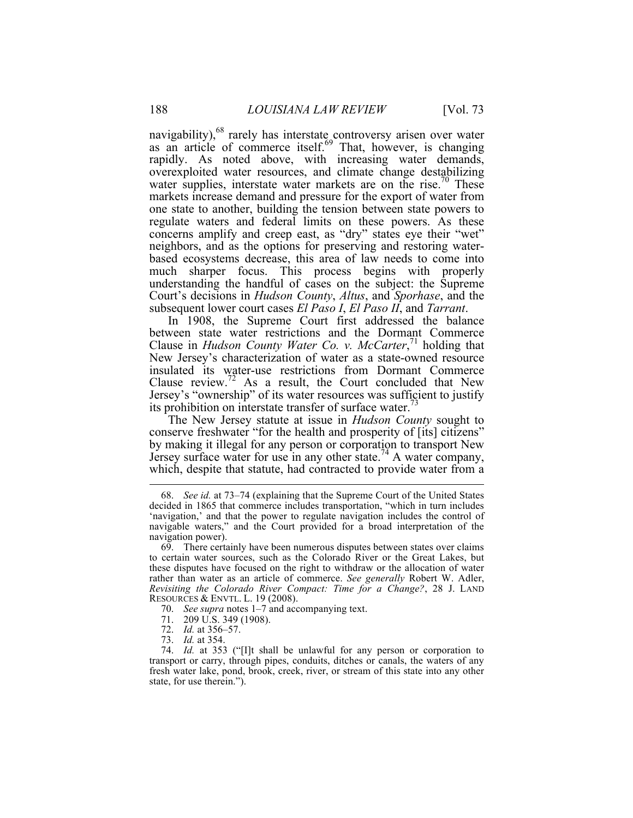navigability), $68$  rarely has interstate controversy arisen over water as an article of commerce itself.<sup>69</sup> That, however, is changing rapidly. As noted above, with increasing water demands, overexploited water resources, and climate change destabilizing water supplies, interstate water markets are on the rise.<sup> $0$ </sup> These markets increase demand and pressure for the export of water from one state to another, building the tension between state powers to regulate waters and federal limits on these powers. As these concerns amplify and creep east, as "dry" states eye their "wet" neighbors, and as the options for preserving and restoring waterbased ecosystems decrease, this area of law needs to come into much sharper focus. This process begins with properly understanding the handful of cases on the subject: the Supreme Court's decisions in *Hudson County*, *Altus*, and *Sporhase*, and the subsequent lower court cases *El Paso I*, *El Paso II*, and *Tarrant*.

In 1908, the Supreme Court first addressed the balance between state water restrictions and the Dormant Commerce Clause in *Hudson County Water Co. v. McCarter*, <sup>71</sup> holding that New Jersey's characterization of water as a state-owned resource insulated its water-use restrictions from Dormant Commerce Clause review.<sup>72</sup> As a result, the Court concluded that New Jersey's "ownership" of its water resources was sufficient to justify its prohibition on interstate transfer of surface water.<sup>13</sup>

The New Jersey statute at issue in *Hudson County* sought to conserve freshwater "for the health and prosperity of [its] citizens" by making it illegal for any person or corporation to transport New Jersey surface water for use in any other state.<sup>74</sup> A water company, which, despite that statute, had contracted to provide water from a

- 72. *Id.* at 356–57.
- 73. *Id.* at 354.

 <sup>68.</sup> *See id.* at 73–74 (explaining that the Supreme Court of the United States decided in 1865 that commerce includes transportation, "which in turn includes 'navigation,' and that the power to regulate navigation includes the control of navigable waters," and the Court provided for a broad interpretation of the navigation power).

<sup>69.</sup> There certainly have been numerous disputes between states over claims to certain water sources, such as the Colorado River or the Great Lakes, but these disputes have focused on the right to withdraw or the allocation of water rather than water as an article of commerce. *See generally* Robert W. Adler, *Revisiting the Colorado River Compact: Time for a Change?*, 28 J. LAND RESOURCES & ENVTL. L. 19 (2008).

<sup>70.</sup> *See supra* notes 1–7 and accompanying text.

<sup>71.</sup> 209 U.S. 349 (1908).

<sup>74.</sup> *Id.* at 353 ("[I]t shall be unlawful for any person or corporation to transport or carry, through pipes, conduits, ditches or canals, the waters of any fresh water lake, pond, brook, creek, river, or stream of this state into any other state, for use therein.").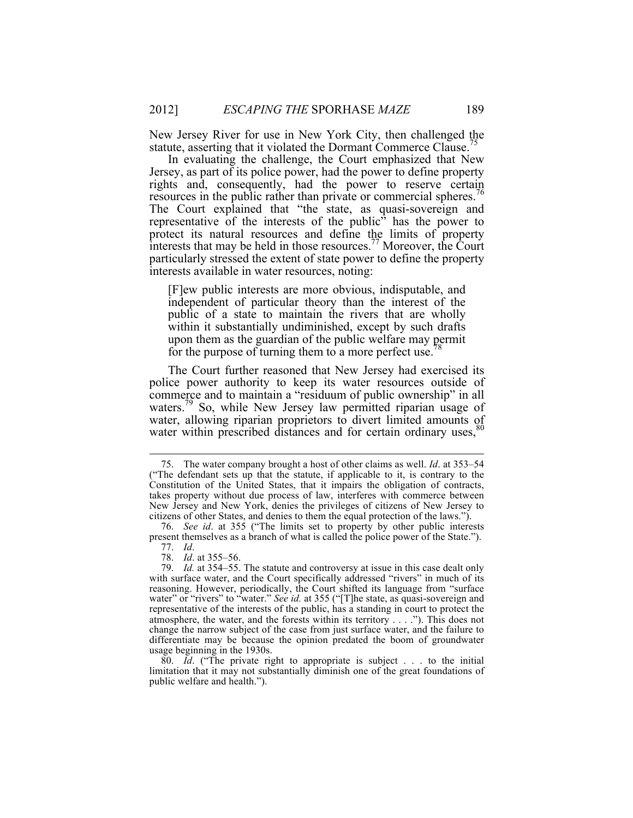New Jersey River for use in New York City, then challenged the statute, asserting that it violated the Dormant Commerce Clause.<sup>75</sup>

In evaluating the challenge, the Court emphasized that New Jersey, as part of its police power, had the power to define property rights and, consequently, had the power to reserve certain resources in the public rather than private or commercial spheres.<sup>76</sup> The Court explained that "the state, as quasi-sovereign and representative of the interests of the public" has the power to protect its natural resources and define the limits of property interests that may be held in those resources.<sup>77</sup> Moreover, the Court particularly stressed the extent of state power to define the property interests available in water resources, noting:

[F]ew public interests are more obvious, indisputable, and independent of particular theory than the interest of the public of a state to maintain the rivers that are wholly within it substantially undiminished, except by such drafts upon them as the guardian of the public welfare may permit for the purpose of turning them to a more perfect use.<sup>7</sup>

The Court further reasoned that New Jersey had exercised its police power authority to keep its water resources outside of commerce and to maintain a "residuum of public ownership" in all waters.<sup>79</sup> So, while New Jersey law permitted riparian usage of water, allowing riparian proprietors to divert limited amounts of water within prescribed distances and for certain ordinary uses,<sup>8</sup>

 <sup>75.</sup> The water company brought a host of other claims as well. *Id*. at 353–54 ("The defendant sets up that the statute, if applicable to it, is contrary to the Constitution of the United States, that it impairs the obligation of contracts, takes property without due process of law, interferes with commerce between New Jersey and New York, denies the privileges of citizens of New Jersey to citizens of other States, and denies to them the equal protection of the laws.").

<sup>76.</sup> *See id*. at 355 ("The limits set to property by other public interests present themselves as a branch of what is called the police power of the State.").

<sup>77.</sup> *Id*.

<sup>78.</sup> *Id*. at 355–56.

<sup>79.</sup> *Id.* at 354–55. The statute and controversy at issue in this case dealt only with surface water, and the Court specifically addressed "rivers" in much of its reasoning. However, periodically, the Court shifted its language from "surface water" or "rivers" to "water." *See id.* at 355 ("[T]he state, as quasi-sovereign and representative of the interests of the public, has a standing in court to protect the atmosphere, the water, and the forests within its territory . . . ."). This does not change the narrow subject of the case from just surface water, and the failure to differentiate may be because the opinion predated the boom of groundwater usage beginning in the 1930s.

<sup>80.</sup> *Id*. ("The private right to appropriate is subject . . . to the initial limitation that it may not substantially diminish one of the great foundations of public welfare and health.").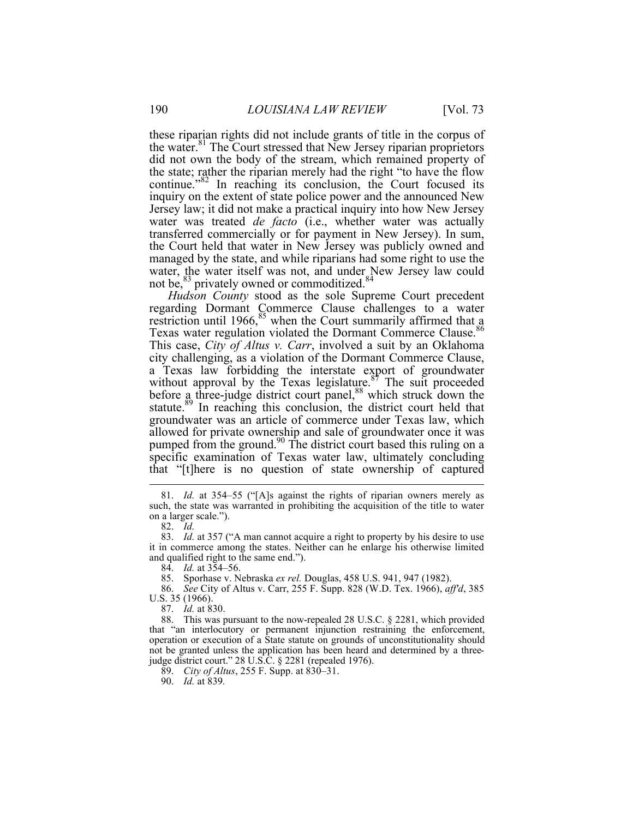these riparian rights did not include grants of title in the corpus of the water.<sup>81</sup> The Court stressed that New Jersey riparian proprietors did not own the body of the stream, which remained property of the state; rather the riparian merely had the right "to have the flow continue."<sup>82</sup> In reaching its conclusion, the Court focused its inquiry on the extent of state police power and the announced New Jersey law; it did not make a practical inquiry into how New Jersey water was treated *de facto* (i.e., whether water was actually transferred commercially or for payment in New Jersey). In sum, the Court held that water in New Jersey was publicly owned and managed by the state, and while riparians had some right to use the water, the water itself was not, and under New Jersey law could not be,  $83$  privately owned or commoditized.  $84$ 

*Hudson County* stood as the sole Supreme Court precedent regarding Dormant Commerce Clause challenges to a water restriction until 1966, $85$  when the Court summarily affirmed that a Texas water regulation violated the Dormant Commerce Clause.<sup>86</sup> This case, *City of Altus v. Carr*, involved a suit by an Oklahoma city challenging, as a violation of the Dormant Commerce Clause, a Texas law forbidding the interstate export of groundwater without approval by the Texas legislature. $8<sup>5</sup>$  The suit proceeded before a three-judge district court panel,<sup>88</sup> which struck down the statute.<sup>89</sup> In reaching this conclusion, the district court held that groundwater was an article of commerce under Texas law, which allowed for private ownership and sale of groundwater once it was pumped from the ground.<sup>90</sup> The district court based this ruling on a specific examination of Texas water law, ultimately concluding that "[t]here is no question of state ownership of captured

 <sup>81.</sup> *Id.* at 354–55 ("[A]s against the rights of riparian owners merely as such, the state was warranted in prohibiting the acquisition of the title to water on a larger scale.").

<sup>82.</sup> *Id.*

<sup>83.</sup> *Id.* at 357 ("A man cannot acquire a right to property by his desire to use it in commerce among the states. Neither can he enlarge his otherwise limited and qualified right to the same end.").

<sup>84.</sup> *Id.* at 354–56.

<sup>85.</sup> Sporhase v. Nebraska *ex rel.* Douglas, 458 U.S. 941, 947 (1982).

<sup>86.</sup> *See* City of Altus v. Carr, 255 F. Supp. 828 (W.D. Tex. 1966), *aff'd*, 385 U.S. 35 (1966).

<sup>87.</sup> *Id.* at 830.

<sup>88.</sup> This was pursuant to the now-repealed 28 U.S.C. § 2281, which provided that "an interlocutory or permanent injunction restraining the enforcement, operation or execution of a State statute on grounds of unconstitutionality should not be granted unless the application has been heard and determined by a threejudge district court." 28 U.S.C. § 2281 (repealed 1976).

<sup>89.</sup> *City of Altus*, 255 F. Supp. at 830–31.

<sup>90.</sup> *Id.* at 839*.*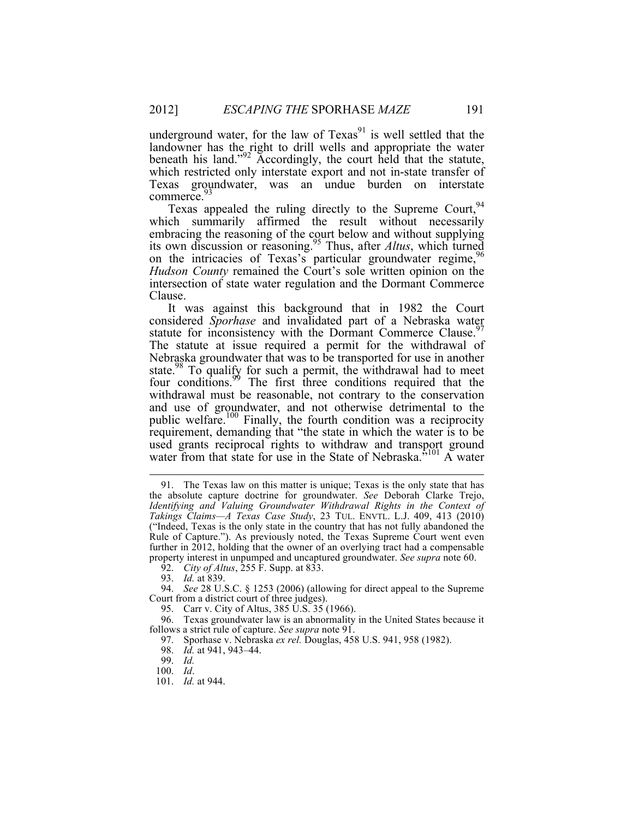underground water, for the law of  $T$ exas $91$  is well settled that the landowner has the right to drill wells and appropriate the water beneath his land."<sup>92</sup> Accordingly, the court held that the statute, which restricted only interstate export and not in-state transfer of Texas groundwater, was an undue burden on interstate commerce.<sup>93</sup>

Texas appealed the ruling directly to the Supreme Court,  $94$ which summarily affirmed the result without necessarily embracing the reasoning of the court below and without supplying its own discussion or reasoning.95 Thus, after *Altus*, which turned on the intricacies of Texas's particular groundwater regime,<sup>96</sup> *Hudson County* remained the Court's sole written opinion on the intersection of state water regulation and the Dormant Commerce Clause.

It was against this background that in 1982 the Court considered *Sporhase* and invalidated part of a Nebraska water statute for inconsistency with the Dormant Commerce Clause.<sup>97</sup> The statute at issue required a permit for the withdrawal of Nebraska groundwater that was to be transported for use in another state. $98$  To qualify for such a permit, the withdrawal had to meet four conditions.<sup>99</sup> The first three conditions required that the withdrawal must be reasonable, not contrary to the conservation and use of groundwater, and not otherwise detrimental to the public welfare.<sup>100</sup> Finally, the fourth condition was a reciprocity requirement, demanding that "the state in which the water is to be used grants reciprocal rights to withdraw and transport ground water from that state for use in the State of Nebraska.<sup>5101</sup> A water

 <sup>91.</sup> The Texas law on this matter is unique; Texas is the only state that has the absolute capture doctrine for groundwater. *See* Deborah Clarke Trejo, *Identifying and Valuing Groundwater Withdrawal Rights in the Context of Takings Claims—A Texas Case Study*, 23 TUL. ENVTL. L.J. 409, 413 (2010) ("Indeed, Texas is the only state in the country that has not fully abandoned the Rule of Capture."). As previously noted, the Texas Supreme Court went even further in 2012, holding that the owner of an overlying tract had a compensable property interest in unpumped and uncaptured groundwater. *See supra* note 60.

<sup>92.</sup> *City of Altus*, 255 F. Supp. at 833.

<sup>93.</sup> *Id.* at 839.

<sup>94.</sup> *See* 28 U.S.C. § 1253 (2006) (allowing for direct appeal to the Supreme Court from a district court of three judges).

<sup>95.</sup> Carr v. City of Altus, 385 U.S. 35 (1966).

<sup>96.</sup> Texas groundwater law is an abnormality in the United States because it follows a strict rule of capture. *See supra* note 91.

<sup>97.</sup> Sporhase v. Nebraska *ex rel.* Douglas, 458 U.S. 941, 958 (1982).

<sup>98.</sup> *Id.* at 941, 943–44.

<sup>99.</sup> *Id.*

<sup>100.</sup> *Id*.

<sup>101.</sup> *Id.* at 944.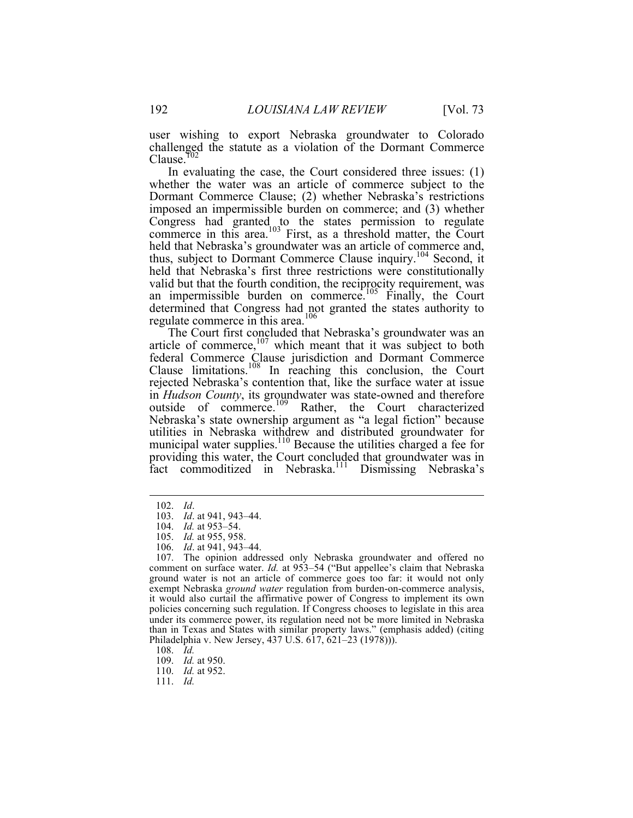user wishing to export Nebraska groundwater to Colorado challenged the statute as a violation of the Dormant Commerce Clause.<sup>102</sup>

In evaluating the case, the Court considered three issues: (1) whether the water was an article of commerce subject to the Dormant Commerce Clause; (2) whether Nebraska's restrictions imposed an impermissible burden on commerce; and (3) whether Congress had granted to the states permission to regulate commerce in this area.<sup>103</sup> First, as a threshold matter, the Court held that Nebraska's groundwater was an article of commerce and, thus, subject to Dormant Commerce Clause inquiry.104 Second, it held that Nebraska's first three restrictions were constitutionally valid but that the fourth condition, the reciprocity requirement, was an impermissible burden on commerce.<sup>105</sup> Finally, the Court determined that Congress had not granted the states authority to regulate commerce in this area.<sup>106</sup>

The Court first concluded that Nebraska's groundwater was an article of commerce, $107$  which meant that it was subject to both federal Commerce Clause jurisdiction and Dormant Commerce Clause limitations. <sup>108</sup> In reaching this conclusion, the Court rejected Nebraska's contention that, like the surface water at issue in *Hudson County*, its groundwater was state-owned and therefore outside of commerce.<sup>109</sup> Rather, the Court characterized Nebraska's state ownership argument as "a legal fiction" because utilities in Nebraska withdrew and distributed groundwater for municipal water supplies. $110$  Because the utilities charged a fee for providing this water, the Court concluded that groundwater was in fact commoditized in Nebraska.<sup>111</sup> Dismissing Nebraska's

 <sup>102.</sup> *Id*.

<sup>103.</sup> *Id*. at 941, 943–44.

<sup>104.</sup> *Id.* at 953–54.

<sup>105.</sup> *Id.* at 955, 958.

<sup>106.</sup> *Id*. at 941, 943–44.

<sup>107.</sup> The opinion addressed only Nebraska groundwater and offered no comment on surface water. *Id.* at 953-54 ("But appellee's claim that Nebraska ground water is not an article of commerce goes too far: it would not only exempt Nebraska *ground water* regulation from burden-on-commerce analysis, it would also curtail the affirmative power of Congress to implement its own policies concerning such regulation. If Congress chooses to legislate in this area under its commerce power, its regulation need not be more limited in Nebraska than in Texas and States with similar property laws." (emphasis added) (citing Philadelphia v. New Jersey, 437 U.S. 617, 621–23 (1978))).

<sup>108.</sup> *Id.*

<sup>109.</sup> *Id.* at 950.

<sup>110.</sup> *Id.* at 952.

<sup>111.</sup> *Id.*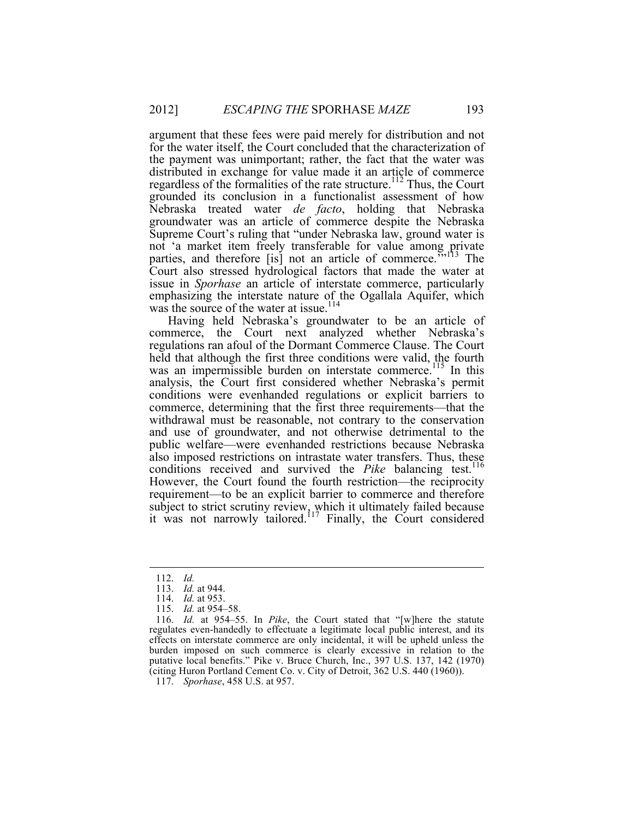argument that these fees were paid merely for distribution and not for the water itself, the Court concluded that the characterization of the payment was unimportant; rather, the fact that the water was distributed in exchange for value made it an article of commerce regardless of the formalities of the rate structure.<sup>112</sup> Thus, the Court grounded its conclusion in a functionalist assessment of how Nebraska treated water *de facto*, holding that Nebraska groundwater was an article of commerce despite the Nebraska Supreme Court's ruling that "under Nebraska law, ground water is not 'a market item freely transferable for value among private parties, and therefore [is] not an article of commerce. $\frac{5.113}{113}$  The Court also stressed hydrological factors that made the water at issue in *Sporhase* an article of interstate commerce, particularly emphasizing the interstate nature of the Ogallala Aquifer, which was the source of the water at issue.<sup>114</sup>

Having held Nebraska's groundwater to be an article of commerce, the Court next analyzed whether Nebraska's regulations ran afoul of the Dormant Commerce Clause. The Court held that although the first three conditions were valid, the fourth was an impermissible burden on interstate commerce.<sup>115</sup> In this analysis, the Court first considered whether Nebraska's permit conditions were evenhanded regulations or explicit barriers to commerce, determining that the first three requirements—that the withdrawal must be reasonable, not contrary to the conservation and use of groundwater, and not otherwise detrimental to the public welfare—were evenhanded restrictions because Nebraska also imposed restrictions on intrastate water transfers. Thus, these conditions received and survived the *Pike* balancing test.<sup>116</sup> However, the Court found the fourth restriction—the reciprocity requirement—to be an explicit barrier to commerce and therefore subject to strict scrutiny review, which it ultimately failed because it was not narrowly tailored.<sup>117</sup> Finally, the Court considered

 <sup>112.</sup> *Id.*

<sup>113.</sup> *Id.* at 944.

<sup>114.</sup> *Id.* at 953.

<sup>115.</sup> *Id.* at 954–58.

<sup>116.</sup> *Id.* at 954–55. In *Pike*, the Court stated that "[w]here the statute regulates even-handedly to effectuate a legitimate local public interest, and its effects on interstate commerce are only incidental, it will be upheld unless the burden imposed on such commerce is clearly excessive in relation to the putative local benefits." Pike v. Bruce Church, Inc., 397 U.S. 137, 142 (1970) (citing Huron Portland Cement Co. v. City of Detroit, 362 U.S. 440 (1960)).

<sup>117.</sup> *Sporhase*, 458 U.S. at 957.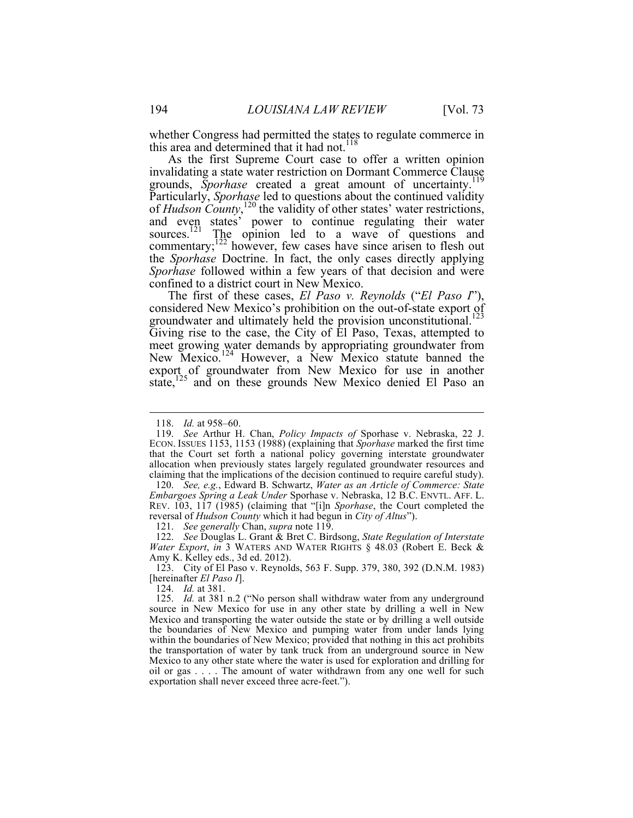whether Congress had permitted the states to regulate commerce in this area and determined that it had not.<sup>118</sup>

As the first Supreme Court case to offer a written opinion invalidating a state water restriction on Dormant Commerce Clause grounds, *Sporhase* created a great amount of uncertainty.<sup>119</sup> Particularly, *Sporhase* led to questions about the continued validity of *Hudson County*,<sup>120</sup> the validity of other states' water restrictions, and even states' power to continue regulating their water sources.<sup>121</sup> The opinion led to a wave of questions and commentary; $^{122}$  however, few cases have since arisen to flesh out the *Sporhase* Doctrine. In fact, the only cases directly applying *Sporhase* followed within a few years of that decision and were confined to a district court in New Mexico.

The first of these cases, *El Paso v. Reynolds* ("*El Paso I*"), considered New Mexico's prohibition on the out-of-state export of groundwater and ultimately held the provision unconstitutional.<sup>123</sup> Giving rise to the case, the City of El Paso, Texas, attempted to meet growing water demands by appropriating groundwater from New Mexico.<sup>124</sup> However, a New Mexico statute banned the export of groundwater from New Mexico for use in another state,<sup>125</sup> and on these grounds New Mexico denied El Paso an

121. *See generally* Chan, *supra* note 119.

123. City of El Paso v. Reynolds, 563 F. Supp. 379, 380, 392 (D.N.M. 1983) [hereinafter *El Paso I*].

124. *Id.* at 381.

 <sup>118.</sup> *Id.* at 958–60.

<sup>119.</sup> *See* Arthur H. Chan, *Policy Impacts of* Sporhase v. Nebraska, 22 J. ECON. ISSUES 1153, 1153 (1988) (explaining that *Sporhase* marked the first time that the Court set forth a national policy governing interstate groundwater allocation when previously states largely regulated groundwater resources and claiming that the implications of the decision continued to require careful study).

<sup>120.</sup> *See, e.g.*, Edward B. Schwartz, *Water as an Article of Commerce: State Embargoes Spring a Leak Under* Sporhase v. Nebraska, 12 B.C. ENVTL. AFF. L. REV. 103, 117 (1985) (claiming that "[i]n *Sporhase*, the Court completed the reversal of *Hudson County* which it had begun in *City of Altus*").

<sup>122.</sup> *See* Douglas L. Grant & Bret C. Birdsong, *State Regulation of Interstate Water Export*, *in* 3 WATERS AND WATER RIGHTS § 48.03 (Robert E. Beck & Amy K. Kelley eds., 3d ed. 2012).

<sup>125.</sup> *Id.* at 381 n.2 ("No person shall withdraw water from any underground source in New Mexico for use in any other state by drilling a well in New Mexico and transporting the water outside the state or by drilling a well outside the boundaries of New Mexico and pumping water from under lands lying within the boundaries of New Mexico; provided that nothing in this act prohibits the transportation of water by tank truck from an underground source in New Mexico to any other state where the water is used for exploration and drilling for oil or gas . . . . The amount of water withdrawn from any one well for such exportation shall never exceed three acre-feet.").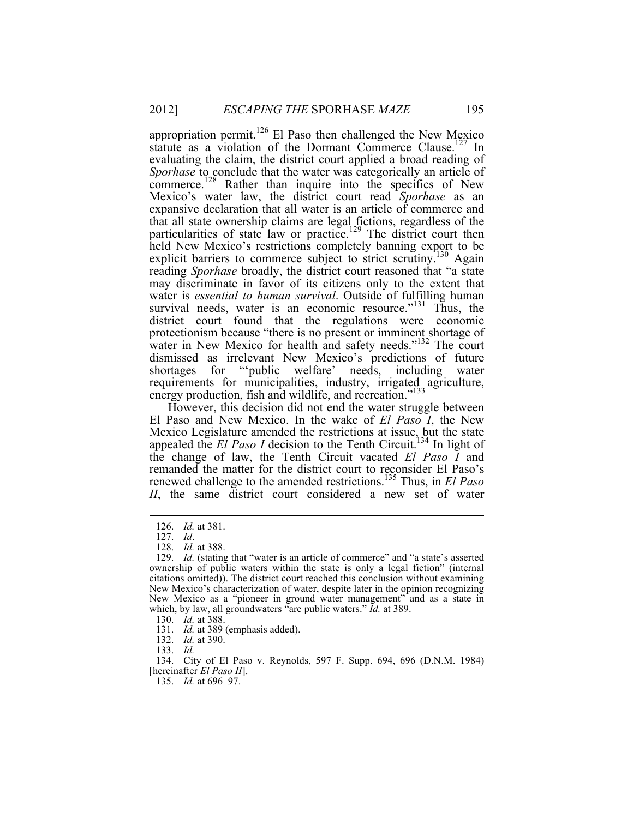appropriation permit.<sup>126</sup> El Paso then challenged the New Mexico statute as a violation of the Dormant Commerce Clause.<sup>127</sup> In evaluating the claim, the district court applied a broad reading of *Sporhase* to conclude that the water was categorically an article of commerce.<sup>128</sup> Rather than inquire into the specifics of New Mexico's water law, the district court read *Sporhase* as an expansive declaration that all water is an article of commerce and that all state ownership claims are legal fictions, regardless of the particularities of state law or practice.<sup>129</sup> The district court then held New Mexico's restrictions completely banning export to be explicit barriers to commerce subject to strict scrutiny.<sup>130</sup> Again reading *Sporhase* broadly, the district court reasoned that "a state may discriminate in favor of its citizens only to the extent that water is *essential to human survival*. Outside of fulfilling human survival needs, water is an economic resource."<sup>131</sup> Thus, the district court found that the regulations were economic protectionism because "there is no present or imminent shortage of water in New Mexico for health and safety needs."<sup>132</sup> The court dismissed as irrelevant New Mexico's predictions of future shortages for "'public welfare' needs, including water requirements for municipalities, industry, irrigated agriculture, energy production, fish and wildlife, and recreation."<sup>133</sup>

However, this decision did not end the water struggle between El Paso and New Mexico. In the wake of *El Paso I*, the New Mexico Legislature amended the restrictions at issue, but the state appealed the *El Paso I* decision to the Tenth Circuit.<sup>134</sup> In light of the change of law, the Tenth Circuit vacated *El Paso I* and remanded the matter for the district court to reconsider El Paso's renewed challenge to the amended restrictions.135 Thus, in *El Paso II*, the same district court considered a new set of water

 <sup>126.</sup> *Id.* at 381.

<sup>127.</sup> *Id*.

<sup>128.</sup> *Id.* at 388.

<sup>129.</sup> *Id.* (stating that "water is an article of commerce" and "a state's asserted ownership of public waters within the state is only a legal fiction" (internal citations omitted)). The district court reached this conclusion without examining New Mexico's characterization of water, despite later in the opinion recognizing New Mexico as a "pioneer in ground water management" and as a state in which, by law, all groundwaters "are public waters." *Id.* at 389.

<sup>130.</sup> *Id.* at 388.

<sup>131.</sup> *Id.* at 389 (emphasis added).

<sup>132.</sup> *Id.* at 390.

<sup>133.</sup> *Id.*

<sup>134.</sup> City of El Paso v. Reynolds, 597 F. Supp. 694, 696 (D.N.M. 1984) [hereinafter *El Paso II*].

<sup>135.</sup> *Id.* at 696–97.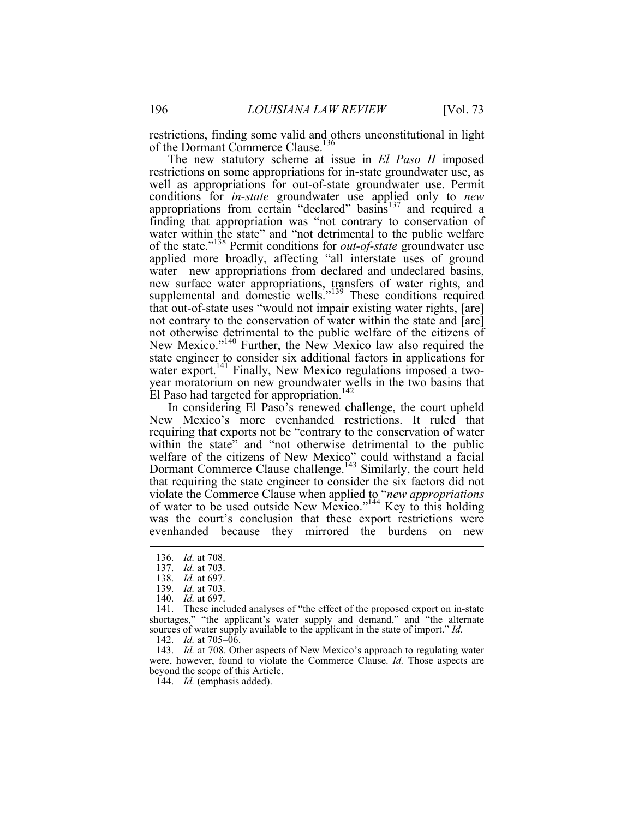restrictions, finding some valid and others unconstitutional in light of the Dormant Commerce Clause.<sup>136</sup>

The new statutory scheme at issue in *El Paso II* imposed restrictions on some appropriations for in-state groundwater use, as well as appropriations for out-of-state groundwater use. Permit conditions for *in-state* groundwater use applied only to *new* appropriations from certain "declared" basins<sup>137</sup> and required a finding that appropriation was "not contrary to conservation of water within the state" and "not detrimental to the public welfare of the state."138 Permit conditions for *out-of-state* groundwater use applied more broadly, affecting "all interstate uses of ground water—new appropriations from declared and undeclared basins, new surface water appropriations, transfers of water rights, and supplemental and domestic wells."<sup>139</sup> These conditions required that out-of-state uses "would not impair existing water rights, [are] not contrary to the conservation of water within the state and [are] not otherwise detrimental to the public welfare of the citizens of New Mexico."<sup>140</sup> Further, the New Mexico law also required the state engineer to consider six additional factors in applications for water export.<sup>141</sup> Finally, New Mexico regulations imposed a twoyear moratorium on new groundwater wells in the two basins that El Paso had targeted for appropriation.<sup>142</sup>

In considering El Paso's renewed challenge, the court upheld New Mexico's more evenhanded restrictions. It ruled that requiring that exports not be "contrary to the conservation of water within the state" and "not otherwise detrimental to the public welfare of the citizens of New Mexico" could withstand a facial Dormant Commerce Clause challenge.<sup>143</sup> Similarly, the court held that requiring the state engineer to consider the six factors did not violate the Commerce Clause when applied to "*new appropriations* of water to be used outside New Mexico."<sup>144</sup> Key to this holding was the court's conclusion that these export restrictions were evenhanded because they mirrored the burdens on new

143. *Id.* at 708. Other aspects of New Mexico's approach to regulating water were, however, found to violate the Commerce Clause. *Id.* Those aspects are beyond the scope of this Article.

 <sup>136.</sup> *Id.* at 708.

<sup>137.</sup> *Id.* at 703.

<sup>138.</sup> *Id.* at 697.

<sup>139.</sup> *Id.* at 703.

<sup>140.</sup> *Id.* at 697.

<sup>141.</sup> These included analyses of "the effect of the proposed export on in-state shortages," "the applicant's water supply and demand," and "the alternate sources of water supply available to the applicant in the state of import." *Id.*

<sup>142.</sup> *Id.* at 705–06.

<sup>144.</sup> *Id.* (emphasis added).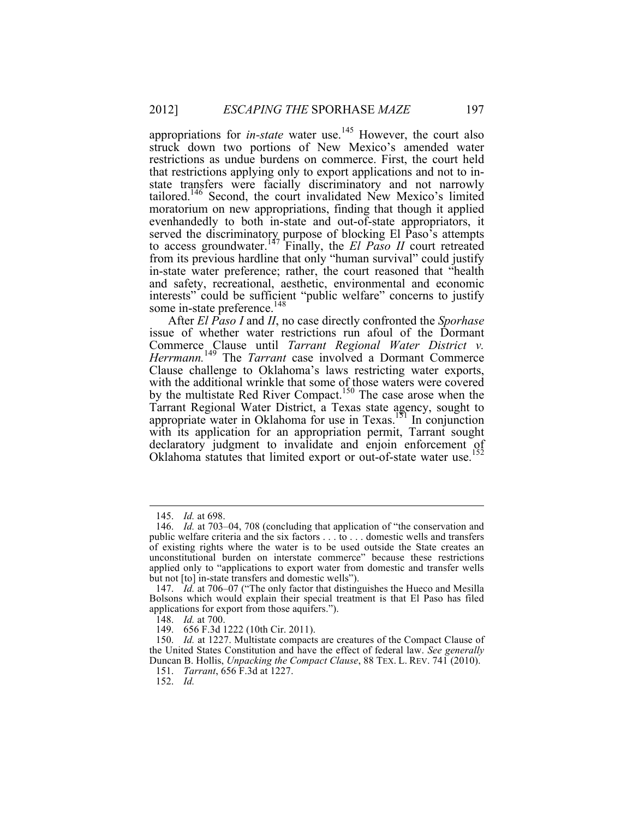appropriations for *in-state* water use.<sup>145</sup> However, the court also struck down two portions of New Mexico's amended water restrictions as undue burdens on commerce. First, the court held that restrictions applying only to export applications and not to instate transfers were facially discriminatory and not narrowly tailored.146 Second, the court invalidated New Mexico's limited moratorium on new appropriations, finding that though it applied evenhandedly to both in-state and out-of-state appropriators, it served the discriminatory purpose of blocking El Paso's attempts to access groundwater.<sup>147</sup> Finally, the *El Paso II* court retreated from its previous hardline that only "human survival" could justify in-state water preference; rather, the court reasoned that "health and safety, recreational, aesthetic, environmental and economic interests" could be sufficient "public welfare" concerns to justify some in-state preference.<sup>148</sup>

After *El Paso I* and *II*, no case directly confronted the *Sporhase* issue of whether water restrictions run afoul of the Dormant Commerce Clause until *Tarrant Regional Water District v. Herrmann.*<sup>149</sup> The *Tarrant* case involved a Dormant Commerce Clause challenge to Oklahoma's laws restricting water exports, with the additional wrinkle that some of those waters were covered by the multistate Red River Compact.<sup>150</sup> The case arose when the Tarrant Regional Water District, a Texas state agency, sought to appropriate water in Oklahoma for use in Texas.151 In conjunction with its application for an appropriation permit, Tarrant sought declaratory judgment to invalidate and enjoin enforcement of Oklahoma statutes that limited export or out-of-state water use.<sup>152</sup>

152. *Id.*

 <sup>145.</sup> *Id.* at 698.

<sup>146.</sup> *Id.* at 703–04, 708 (concluding that application of "the conservation and public welfare criteria and the six factors . . . to . . . domestic wells and transfers of existing rights where the water is to be used outside the State creates an unconstitutional burden on interstate commerce" because these restrictions applied only to "applications to export water from domestic and transfer wells but not [to] in-state transfers and domestic wells").

<sup>147.</sup> *Id.* at 706–07 ("The only factor that distinguishes the Hueco and Mesilla Bolsons which would explain their special treatment is that El Paso has filed applications for export from those aquifers.").

<sup>148.</sup> *Id.* at 700.

<sup>149.</sup> 656 F.3d 1222 (10th Cir. 2011).

<sup>150.</sup> *Id.* at 1227. Multistate compacts are creatures of the Compact Clause of the United States Constitution and have the effect of federal law. *See generally*  Duncan B. Hollis, *Unpacking the Compact Clause*, 88 TEX. L. REV. 741 (2010).

<sup>151.</sup> *Tarrant*, 656 F.3d at 1227.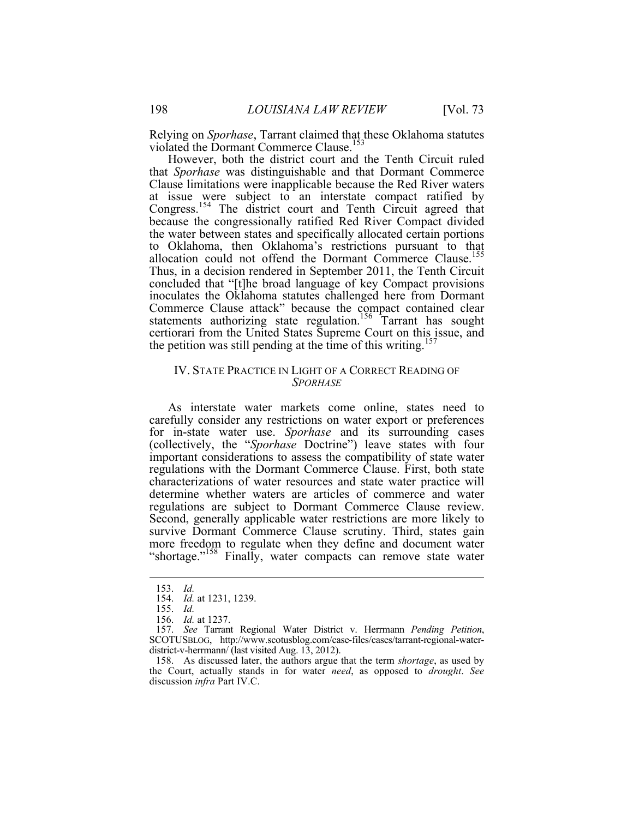Relying on *Sporhase*, Tarrant claimed that these Oklahoma statutes violated the Dormant Commerce Clause.<sup>153</sup>

However, both the district court and the Tenth Circuit ruled that *Sporhase* was distinguishable and that Dormant Commerce Clause limitations were inapplicable because the Red River waters at issue were subject to an interstate compact ratified by Congress.<sup>154</sup> The district court and Tenth Circuit agreed that because the congressionally ratified Red River Compact divided the water between states and specifically allocated certain portions to Oklahoma, then Oklahoma's restrictions pursuant to that allocation could not offend the Dormant Commerce Clause.<sup>155</sup> Thus, in a decision rendered in September 2011, the Tenth Circuit concluded that "[t]he broad language of key Compact provisions inoculates the Oklahoma statutes challenged here from Dormant Commerce Clause attack" because the compact contained clear statements authorizing state regulation.<sup>156</sup> Tarrant has sought certiorari from the United States Supreme Court on this issue, and the petition was still pending at the time of this writing.<sup>15</sup>

### IV. STATE PRACTICE IN LIGHT OF A CORRECT READING OF *SPORHASE*

As interstate water markets come online, states need to carefully consider any restrictions on water export or preferences for in-state water use. *Sporhase* and its surrounding cases (collectively, the "*Sporhase* Doctrine") leave states with four important considerations to assess the compatibility of state water regulations with the Dormant Commerce Clause. First, both state characterizations of water resources and state water practice will determine whether waters are articles of commerce and water regulations are subject to Dormant Commerce Clause review. Second, generally applicable water restrictions are more likely to survive Dormant Commerce Clause scrutiny. Third, states gain more freedom to regulate when they define and document water "shortage."<sup>158</sup> Finally, water compacts can remove state water

 <sup>153.</sup> *Id.* 

<sup>154.</sup> *Id.* at 1231, 1239.

<sup>155.</sup> *Id.*

<sup>156.</sup> *Id.* at 1237.

<sup>157.</sup> *See* Tarrant Regional Water District v. Herrmann *Pending Petition*, SCOTUSBLOG, http://www.scotusblog.com/case-files/cases/tarrant-regional-waterdistrict-v-herrmann/ (last visited Aug. 13, 2012).

<sup>158.</sup> As discussed later, the authors argue that the term *shortage*, as used by the Court, actually stands in for water *need*, as opposed to *drought*. *See* discussion *infra* Part IV.C.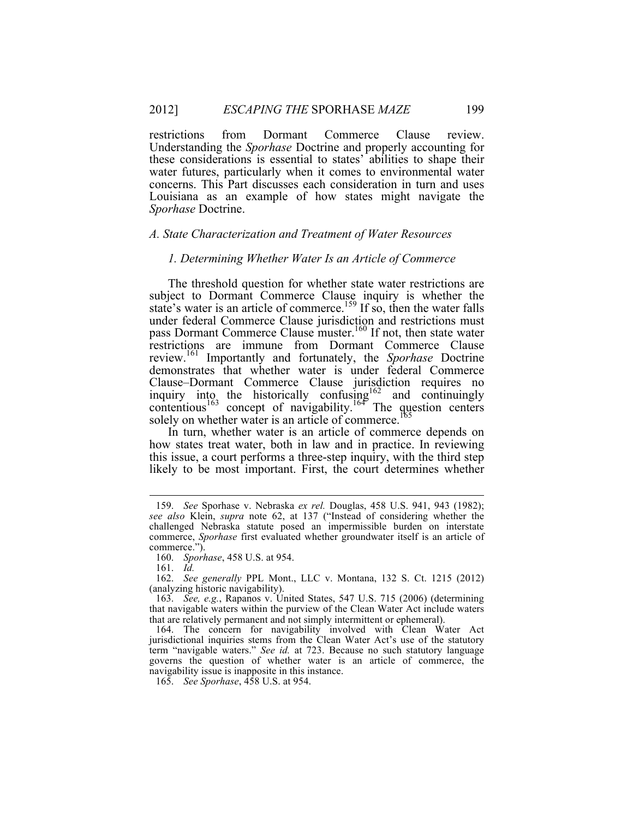restrictions from Dormant Commerce Clause review. Understanding the *Sporhase* Doctrine and properly accounting for these considerations is essential to states' abilities to shape their water futures, particularly when it comes to environmental water concerns. This Part discusses each consideration in turn and uses Louisiana as an example of how states might navigate the *Sporhase* Doctrine.

#### *A. State Characterization and Treatment of Water Resources*

#### *1. Determining Whether Water Is an Article of Commerce*

The threshold question for whether state water restrictions are subject to Dormant Commerce Clause inquiry is whether the state's water is an article of commerce.<sup>159</sup> If so, then the water falls under federal Commerce Clause jurisdiction and restrictions must pass Dormant Commerce Clause muster.<sup>160</sup> If not, then state water restrictions are immune from Dormant Commerce Clause review.<sup>161</sup> Importantly and fortunately, the *Sporhase* Doctrine demonstrates that whether water is under federal Commerce Clause–Dormant Commerce Clause jurisdiction requires no inquiry into the historically confusing  $162$  and continuingly contentious<sup>163</sup> concept of navigability.<sup>164</sup> The question centers solely on whether water is an article of commerce.<sup>165</sup>

In turn, whether water is an article of commerce depends on how states treat water, both in law and in practice. In reviewing this issue, a court performs a three-step inquiry, with the third step likely to be most important. First, the court determines whether

161. *Id.*

 <sup>159.</sup> *See* Sporhase v. Nebraska *ex rel.* Douglas, 458 U.S. 941, 943 (1982); *see also* Klein, *supra* note 62, at 137 ("Instead of considering whether the challenged Nebraska statute posed an impermissible burden on interstate commerce, *Sporhase* first evaluated whether groundwater itself is an article of commerce.").

<sup>160.</sup> *Sporhase*, 458 U.S. at 954.

<sup>162.</sup> *See generally* PPL Mont., LLC v. Montana, 132 S. Ct. 1215 (2012) (analyzing historic navigability).

<sup>163.</sup> *See, e.g.*, Rapanos v. United States, 547 U.S. 715 (2006) (determining that navigable waters within the purview of the Clean Water Act include waters that are relatively permanent and not simply intermittent or ephemeral).

<sup>164.</sup> The concern for navigability involved with Clean Water Act jurisdictional inquiries stems from the Clean Water Act's use of the statutory term "navigable waters." *See id.* at 723. Because no such statutory language governs the question of whether water is an article of commerce, the navigability issue is inapposite in this instance.

<sup>165.</sup> *See Sporhase*, 458 U.S. at 954.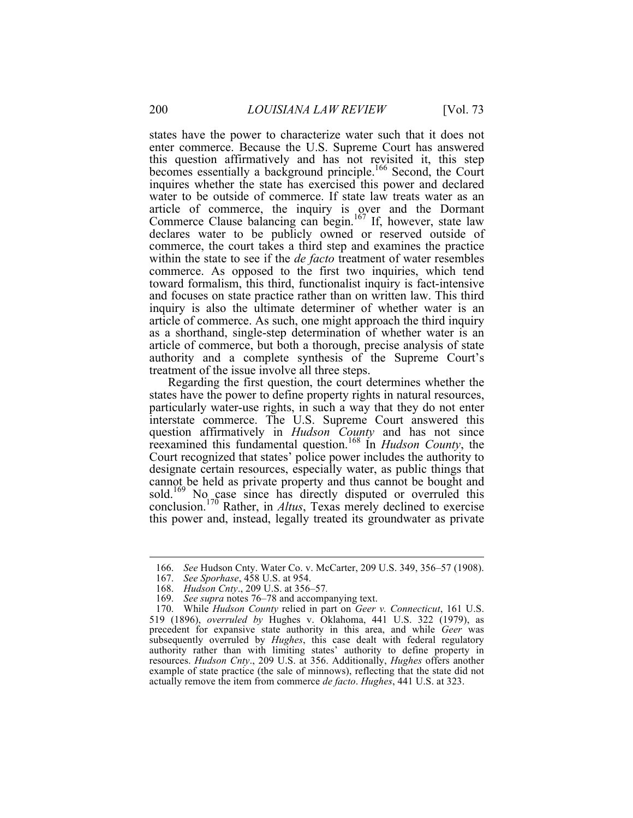states have the power to characterize water such that it does not enter commerce. Because the U.S. Supreme Court has answered this question affirmatively and has not revisited it, this step becomes essentially a background principle.<sup>166</sup> Second, the Court inquires whether the state has exercised this power and declared water to be outside of commerce. If state law treats water as an article of commerce, the inquiry is over and the Dormant Commerce Clause balancing can begin.<sup>167</sup> If, however, state law declares water to be publicly owned or reserved outside of commerce, the court takes a third step and examines the practice within the state to see if the *de facto* treatment of water resembles commerce. As opposed to the first two inquiries, which tend toward formalism, this third, functionalist inquiry is fact-intensive and focuses on state practice rather than on written law. This third inquiry is also the ultimate determiner of whether water is an article of commerce. As such, one might approach the third inquiry as a shorthand, single-step determination of whether water is an article of commerce, but both a thorough, precise analysis of state authority and a complete synthesis of the Supreme Court's treatment of the issue involve all three steps.

Regarding the first question, the court determines whether the states have the power to define property rights in natural resources, particularly water-use rights, in such a way that they do not enter interstate commerce. The U.S. Supreme Court answered this question affirmatively in *Hudson County* and has not since reexamined this fundamental question. <sup>168</sup> In *Hudson County*, the Court recognized that states' police power includes the authority to designate certain resources, especially water, as public things that cannot be held as private property and thus cannot be bought and sold.<sup>169</sup> No case since has directly disputed or overruled this conclusion.170 Rather, in *Altus*, Texas merely declined to exercise this power and, instead, legally treated its groundwater as private

 <sup>166.</sup> *See* Hudson Cnty. Water Co. v. McCarter, 209 U.S. 349, 356–57 (1908).

<sup>167.</sup> *See Sporhase*, 458 U.S. at 954.

<sup>168.</sup> *Hudson Cnty*., 209 U.S. at 356–57*.*

<sup>169.</sup> *See supra* notes 76–78 and accompanying text.

<sup>170.</sup> While *Hudson County* relied in part on *Geer v. Connecticut*, 161 U.S. 519 (1896), *overruled by* Hughes v. Oklahoma, 441 U.S. 322 (1979), as precedent for expansive state authority in this area, and while *Geer* was subsequently overruled by *Hughes*, this case dealt with federal regulatory authority rather than with limiting states' authority to define property in resources. *Hudson Cnty*., 209 U.S. at 356. Additionally, *Hughes* offers another example of state practice (the sale of minnows), reflecting that the state did not actually remove the item from commerce *de facto*. *Hughes*, 441 U.S. at 323.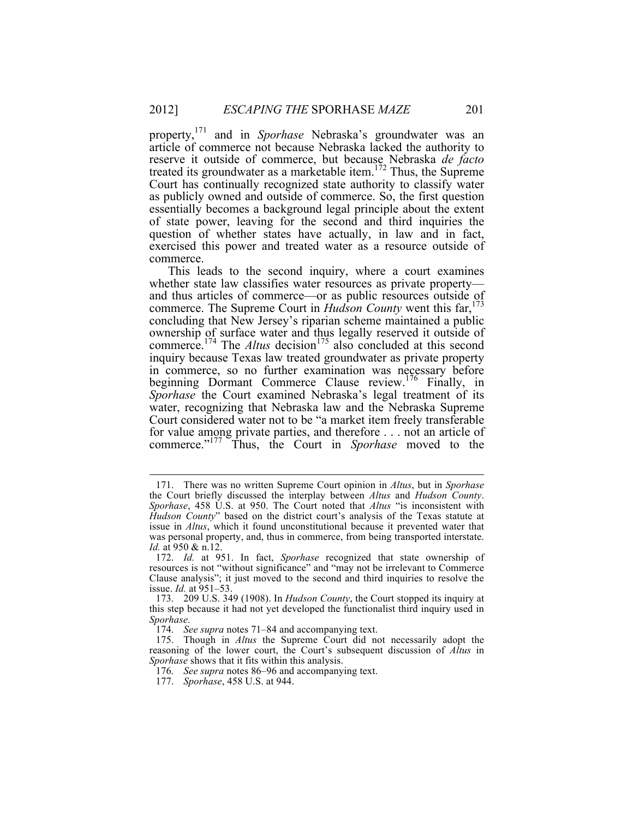property,<sup>171</sup> and in *Sporhase* Nebraska's groundwater was an article of commerce not because Nebraska lacked the authority to reserve it outside of commerce, but because Nebraska *de facto* treated its groundwater as a marketable item.<sup>172</sup> Thus, the Supreme Court has continually recognized state authority to classify water as publicly owned and outside of commerce. So, the first question essentially becomes a background legal principle about the extent of state power, leaving for the second and third inquiries the question of whether states have actually, in law and in fact, exercised this power and treated water as a resource outside of commerce.

This leads to the second inquiry, where a court examines whether state law classifies water resources as private property and thus articles of commerce—or as public resources outside of commerce. The Supreme Court in *Hudson County* went this far,<sup>173</sup> concluding that New Jersey's riparian scheme maintained a public ownership of surface water and thus legally reserved it outside of commerce.<sup>174</sup> The *Altus* decision<sup>175</sup> also concluded at this second inquiry because Texas law treated groundwater as private property in commerce, so no further examination was necessary before beginning Dormant Commerce Clause review.<sup>176</sup> Finally, in *Sporhase* the Court examined Nebraska's legal treatment of its water, recognizing that Nebraska law and the Nebraska Supreme Court considered water not to be "a market item freely transferable for value among private parties, and therefore . . . not an article of commerce."<sup>177</sup> Thus, the Court in *Sporhase* moved to the

 <sup>171.</sup> There was no written Supreme Court opinion in *Altus*, but in *Sporhase*  the Court briefly discussed the interplay between *Altus* and *Hudson County*. *Sporhase*, 458 U.S. at 950. The Court noted that *Altus* "is inconsistent with *Hudson County*" based on the district court's analysis of the Texas statute at issue in *Altus*, which it found unconstitutional because it prevented water that was personal property, and, thus in commerce, from being transported interstate. *Id.* at 950 & n.12.

<sup>172.</sup> *Id.* at 951. In fact, *Sporhase* recognized that state ownership of resources is not "without significance" and "may not be irrelevant to Commerce Clause analysis"; it just moved to the second and third inquiries to resolve the issue. *Id.* at 951–53.

<sup>173.</sup> 209 U.S. 349 (1908). In *Hudson County*, the Court stopped its inquiry at this step because it had not yet developed the functionalist third inquiry used in *Sporhase*.

<sup>174.</sup> *See supra* notes 71–84 and accompanying text.

<sup>175.</sup> Though in *Altus* the Supreme Court did not necessarily adopt the reasoning of the lower court, the Court's subsequent discussion of *Altus* in *Sporhase* shows that it fits within this analysis.

<sup>176.</sup> *See supra* notes 86–96 and accompanying text.

<sup>177.</sup> *Sporhase*, 458 U.S. at 944.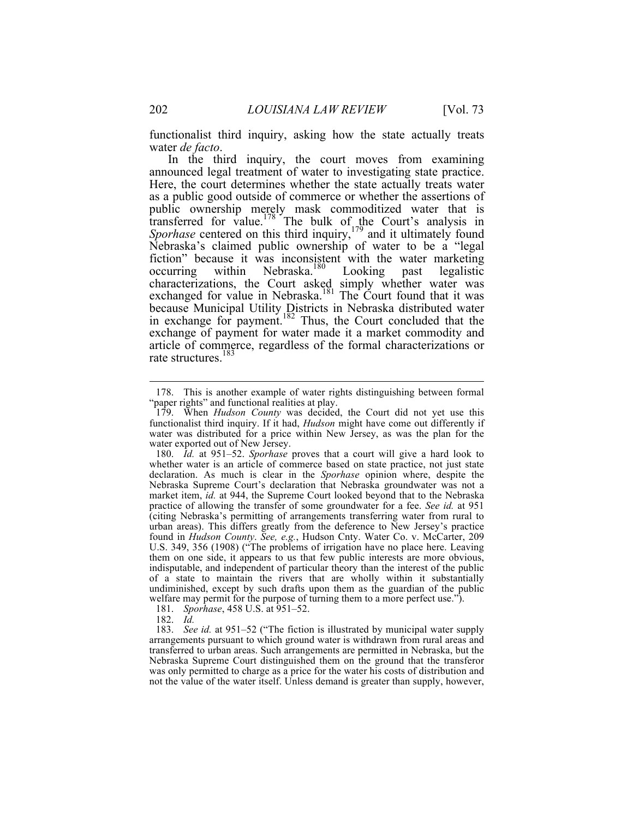functionalist third inquiry, asking how the state actually treats water *de facto*.

In the third inquiry, the court moves from examining announced legal treatment of water to investigating state practice. Here, the court determines whether the state actually treats water as a public good outside of commerce or whether the assertions of public ownership merely mask commoditized water that is transferred for value.<sup>178</sup> The bulk of the Court's analysis in *Sporhase* centered on this third inquiry,<sup>179</sup> and it ultimately found Nebraska's claimed public ownership of water to be a "legal fiction" because it was inconsistent with the water marketing occurring within Nebraska.<sup>180</sup> Looking past legalistic characterizations, the Court asked simply whether water was exchanged for value in Nebraska.<sup>181</sup> The Court found that it was because Municipal Utility Districts in Nebraska distributed water in exchange for payment.<sup>182</sup> Thus, the Court concluded that the exchange of payment for water made it a market commodity and article of commerce, regardless of the formal characterizations or rate structures. 183

182. *Id.*

183. *See id.* at 951–52 ("The fiction is illustrated by municipal water supply arrangements pursuant to which ground water is withdrawn from rural areas and transferred to urban areas. Such arrangements are permitted in Nebraska, but the Nebraska Supreme Court distinguished them on the ground that the transferor was only permitted to charge as a price for the water his costs of distribution and not the value of the water itself. Unless demand is greater than supply, however,

 <sup>178.</sup> This is another example of water rights distinguishing between formal "paper rights" and functional realities at play.

<sup>179.</sup> When *Hudson County* was decided, the Court did not yet use this functionalist third inquiry. If it had, *Hudson* might have come out differently if water was distributed for a price within New Jersey, as was the plan for the water exported out of New Jersey.

<sup>180.</sup> *Id.* at 951–52. *Sporhase* proves that a court will give a hard look to whether water is an article of commerce based on state practice, not just state declaration. As much is clear in the *Sporhase* opinion where, despite the Nebraska Supreme Court's declaration that Nebraska groundwater was not a market item, *id.* at 944, the Supreme Court looked beyond that to the Nebraska practice of allowing the transfer of some groundwater for a fee. *See id.* at 951 (citing Nebraska's permitting of arrangements transferring water from rural to urban areas). This differs greatly from the deference to New Jersey's practice found in *Hudson County*. *See, e.g.*, Hudson Cnty. Water Co. v. McCarter, 209 U.S. 349, 356 (1908) ("The problems of irrigation have no place here. Leaving them on one side, it appears to us that few public interests are more obvious, indisputable, and independent of particular theory than the interest of the public of a state to maintain the rivers that are wholly within it substantially undiminished, except by such drafts upon them as the guardian of the public welfare may permit for the purpose of turning them to a more perfect use.").

<sup>181.</sup> *Sporhase*, 458 U.S. at 951–52.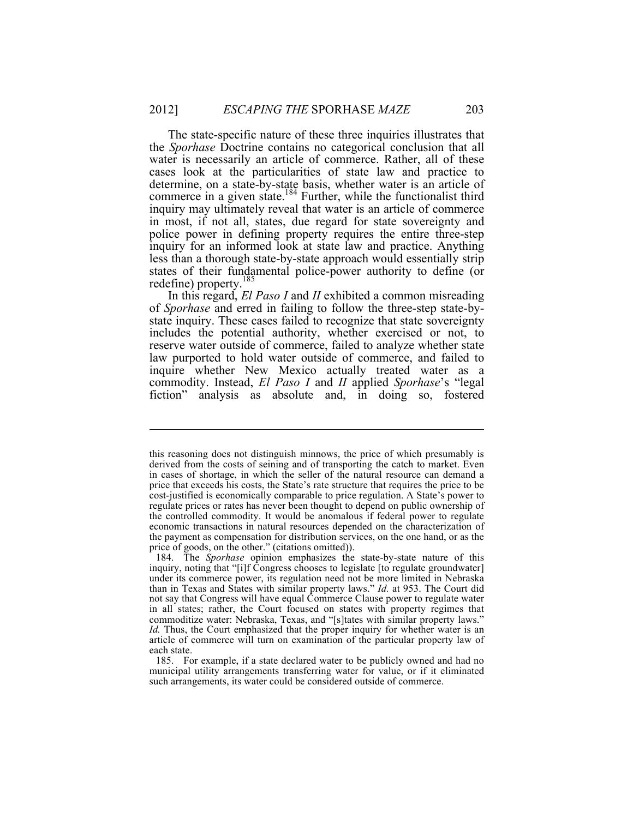The state-specific nature of these three inquiries illustrates that the *Sporhase* Doctrine contains no categorical conclusion that all water is necessarily an article of commerce. Rather, all of these cases look at the particularities of state law and practice to determine, on a state-by-state basis, whether water is an article of commerce in a given state.<sup>184</sup> Further, while the functionalist third inquiry may ultimately reveal that water is an article of commerce in most, if not all, states, due regard for state sovereignty and police power in defining property requires the entire three-step inquiry for an informed look at state law and practice. Anything less than a thorough state-by-state approach would essentially strip states of their fundamental police-power authority to define (or redefine) property.<sup>185</sup>

In this regard, *El Paso I* and *II* exhibited a common misreading of *Sporhase* and erred in failing to follow the three-step state-bystate inquiry. These cases failed to recognize that state sovereignty includes the potential authority, whether exercised or not, to reserve water outside of commerce, failed to analyze whether state law purported to hold water outside of commerce, and failed to inquire whether New Mexico actually treated water as a commodity. Instead, *El Paso I* and *II* applied *Sporhase*'s "legal fiction" analysis as absolute and, in doing so, fostered

 $\overline{a}$ 

this reasoning does not distinguish minnows, the price of which presumably is derived from the costs of seining and of transporting the catch to market. Even in cases of shortage, in which the seller of the natural resource can demand a price that exceeds his costs, the State's rate structure that requires the price to be cost-justified is economically comparable to price regulation. A State's power to regulate prices or rates has never been thought to depend on public ownership of the controlled commodity. It would be anomalous if federal power to regulate economic transactions in natural resources depended on the characterization of the payment as compensation for distribution services, on the one hand, or as the price of goods, on the other." (citations omitted)).

<sup>184.</sup> The *Sporhase* opinion emphasizes the state-by-state nature of this inquiry, noting that "[i]f Congress chooses to legislate [to regulate groundwater] under its commerce power, its regulation need not be more limited in Nebraska than in Texas and States with similar property laws." *Id.* at 953. The Court did not say that Congress will have equal Commerce Clause power to regulate water in all states; rather, the Court focused on states with property regimes that commoditize water: Nebraska, Texas, and "[s]tates with similar property laws." *Id.* Thus, the Court emphasized that the proper inquiry for whether water is an article of commerce will turn on examination of the particular property law of each state.

<sup>185.</sup> For example, if a state declared water to be publicly owned and had no municipal utility arrangements transferring water for value, or if it eliminated such arrangements, its water could be considered outside of commerce.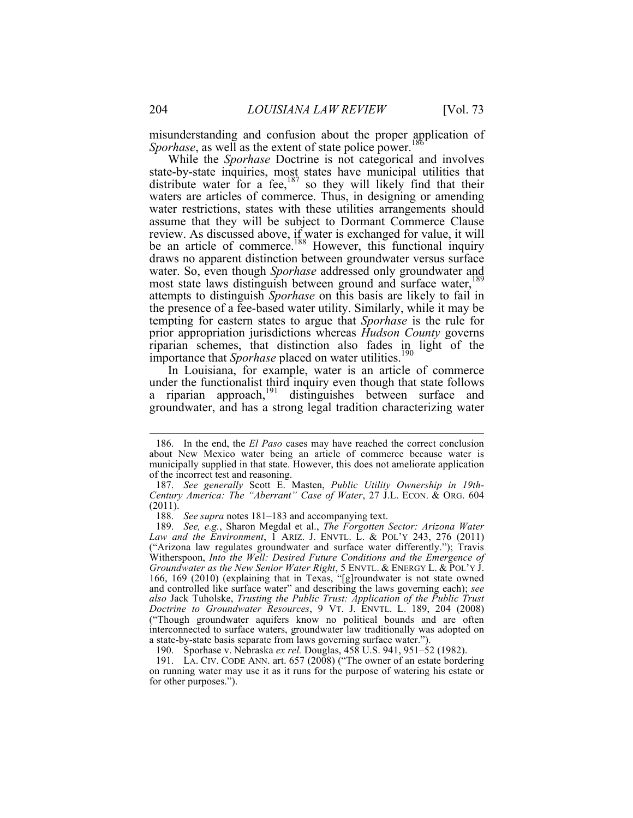misunderstanding and confusion about the proper application of *Sporhase*, as well as the extent of state police power.<sup>18</sup>

While the *Sporhase* Doctrine is not categorical and involves state-by-state inquiries, most states have municipal utilities that distribute water for a fee,  $187$  so they will likely find that their waters are articles of commerce. Thus, in designing or amending water restrictions, states with these utilities arrangements should assume that they will be subject to Dormant Commerce Clause review. As discussed above, if water is exchanged for value, it will be an article of commerce.<sup>188</sup> However, this functional inquiry draws no apparent distinction between groundwater versus surface water. So, even though *Sporhase* addressed only groundwater and most state laws distinguish between ground and surface water,<sup>189</sup> attempts to distinguish *Sporhase* on this basis are likely to fail in the presence of a fee-based water utility. Similarly, while it may be tempting for eastern states to argue that *Sporhase* is the rule for prior appropriation jurisdictions whereas *Hudson County* governs riparian schemes, that distinction also fades in light of the importance that *Sporhase* placed on water utilities.<sup>190</sup>

In Louisiana, for example, water is an article of commerce under the functionalist third inquiry even though that state follows a riparian approach,<sup>191</sup> distinguishes between surface and groundwater, and has a strong legal tradition characterizing water

 <sup>186.</sup> In the end, the *El Paso* cases may have reached the correct conclusion about New Mexico water being an article of commerce because water is municipally supplied in that state. However, this does not ameliorate application of the incorrect test and reasoning.

<sup>187.</sup> *See generally* Scott E. Masten, *Public Utility Ownership in 19th-Century America: The "Aberrant" Case of Water*, 27 J.L. ECON. & ORG. 604 (2011).

<sup>188.</sup> *See supra* notes 181–183 and accompanying text.

<sup>189.</sup> *See, e.g.*, Sharon Megdal et al., *The Forgotten Sector: Arizona Water Law and the Environment*, 1 ARIZ. J. ENVTL. L. & POL'Y 243, 276 (2011) ("Arizona law regulates groundwater and surface water differently."); Travis Witherspoon, *Into the Well: Desired Future Conditions and the Emergence of Groundwater as the New Senior Water Right*, 5 ENVTL. & ENERGY L. & POL'Y J. 166, 169 (2010) (explaining that in Texas, "[g]roundwater is not state owned and controlled like surface water" and describing the laws governing each); *see also* Jack Tuholske, *Trusting the Public Trust: Application of the Public Trust Doctrine to Groundwater Resources*, 9 VT. J. ENVTL. L. 189, 204 (2008) ("Though groundwater aquifers know no political bounds and are often interconnected to surface waters, groundwater law traditionally was adopted on a state-by-state basis separate from laws governing surface water.").

<sup>190.</sup> Sporhase v. Nebraska *ex rel.* Douglas, 458 U.S. 941, 951–52 (1982).

<sup>191.</sup> LA. CIV. CODE ANN. art. 657 (2008) ("The owner of an estate bordering on running water may use it as it runs for the purpose of watering his estate or for other purposes.").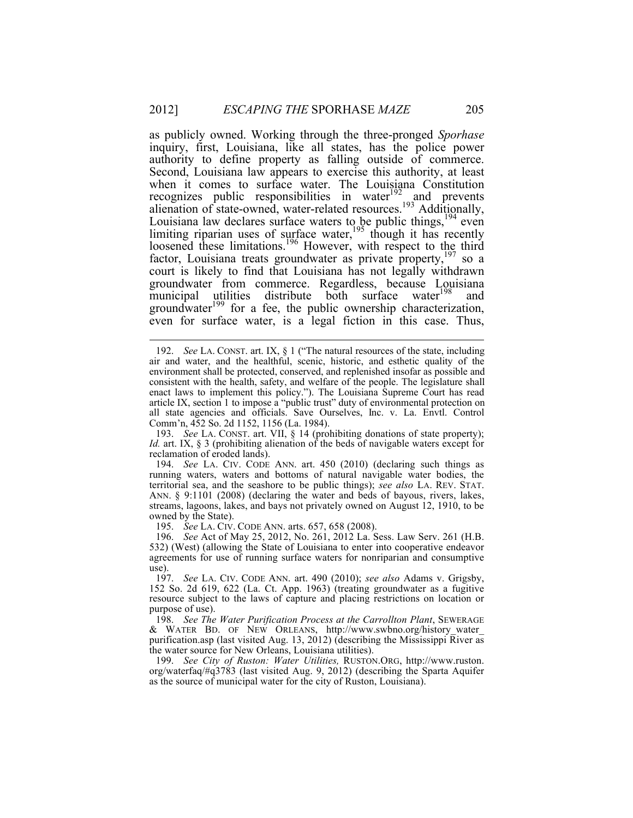as publicly owned. Working through the three-pronged *Sporhase* inquiry, first, Louisiana, like all states, has the police power authority to define property as falling outside of commerce. Second, Louisiana law appears to exercise this authority, at least when it comes to surface water. The Louisiana Constitution recognizes public responsibilities in water $192$  and prevents alienation of state-owned, water-related resources.<sup>193</sup> Additionally, Louisiana law declares surface waters to be public things,  $194$  even limiting riparian uses of surface water,<sup>195</sup> though it has recently loosened these limitations.<sup>196</sup> However, with respect to the third factor, Louisiana treats groundwater as private property, <sup>197</sup> so a court is likely to find that Louisiana has not legally withdrawn groundwater from commerce. Regardless, because Louisiana municipal utilities distribute both surface water<sup>198</sup> and groundwater<sup>199</sup> for a fee, the public ownership characterization, even for surface water, is a legal fiction in this case. Thus,

193. *See* LA. CONST. art. VII, § 14 (prohibiting donations of state property); *Id.* art. IX, § 3 (prohibiting alienation of the beds of navigable waters except for reclamation of eroded lands).

194. *See* LA. CIV. CODE ANN. art. 450 (2010) (declaring such things as running waters, waters and bottoms of natural navigable water bodies, the territorial sea, and the seashore to be public things); *see also* LA. REV. STAT. ANN. § 9:1101 (2008) (declaring the water and beds of bayous, rivers, lakes, streams, lagoons, lakes, and bays not privately owned on August 12, 1910, to be owned by the State).

195. *See* LA. CIV. CODE ANN. arts. 657, 658 (2008).

196. *See* Act of May 25, 2012, No. 261, 2012 La. Sess. Law Serv. 261 (H.B. 532) (West) (allowing the State of Louisiana to enter into cooperative endeavor agreements for use of running surface waters for nonriparian and consumptive use).

197. *See* LA. CIV. CODE ANN. art. 490 (2010); *see also* Adams v. Grigsby, 152 So. 2d 619, 622 (La. Ct. App. 1963) (treating groundwater as a fugitive resource subject to the laws of capture and placing restrictions on location or purpose of use).

198. *See The Water Purification Process at the Carrollton Plant*, SEWERAGE & WATER BD. OF NEW ORLEANS, http://www.swbno.org/history\_water\_ purification.asp (last visited Aug. 13, 2012) (describing the Mississippi River as the water source for New Orleans, Louisiana utilities).

199. *See City of Ruston: Water Utilities,* RUSTON.ORG, http://www.ruston. org/waterfaq/#q3783 (last visited Aug. 9, 2012) (describing the Sparta Aquifer as the source of municipal water for the city of Ruston, Louisiana).

 <sup>192.</sup> *See* LA. CONST. art. IX, § 1 ("The natural resources of the state, including air and water, and the healthful, scenic, historic, and esthetic quality of the environment shall be protected, conserved, and replenished insofar as possible and consistent with the health, safety, and welfare of the people. The legislature shall enact laws to implement this policy."). The Louisiana Supreme Court has read article IX, section 1 to impose a "public trust" duty of environmental protection on all state agencies and officials. Save Ourselves, Inc. v. La. Envtl. Control Comm'n, 452 So. 2d 1152, 1156 (La. 1984).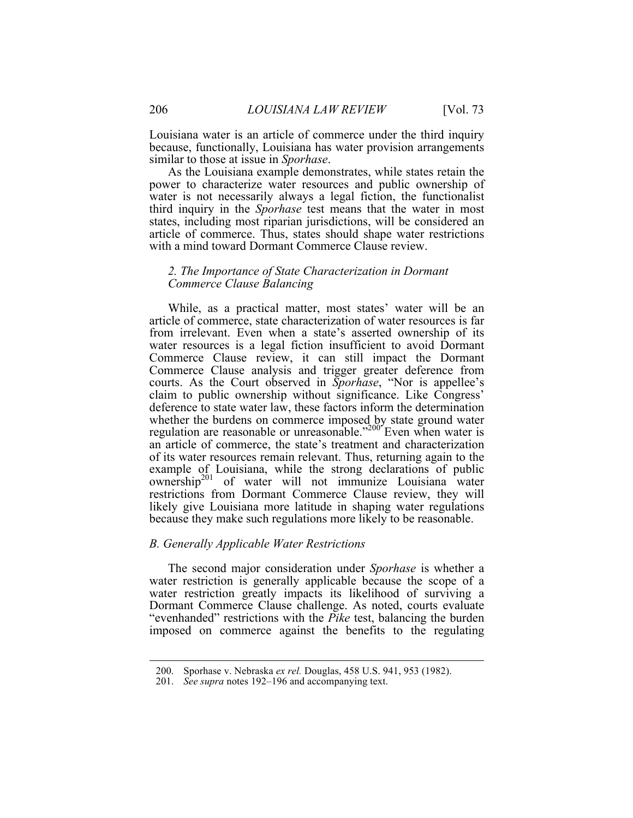Louisiana water is an article of commerce under the third inquiry because, functionally, Louisiana has water provision arrangements similar to those at issue in *Sporhase*.

As the Louisiana example demonstrates, while states retain the power to characterize water resources and public ownership of water is not necessarily always a legal fiction, the functionalist third inquiry in the *Sporhase* test means that the water in most states, including most riparian jurisdictions, will be considered an article of commerce. Thus, states should shape water restrictions with a mind toward Dormant Commerce Clause review.

## *2. The Importance of State Characterization in Dormant Commerce Clause Balancing*

While, as a practical matter, most states' water will be an article of commerce, state characterization of water resources is far from irrelevant. Even when a state's asserted ownership of its water resources is a legal fiction insufficient to avoid Dormant Commerce Clause review, it can still impact the Dormant Commerce Clause analysis and trigger greater deference from courts. As the Court observed in *Sporhase*, "Nor is appellee's claim to public ownership without significance. Like Congress' deference to state water law, these factors inform the determination whether the burdens on commerce imposed by state ground water regulation are reasonable or unreasonable."<sup>200</sup> Even when water is an article of commerce, the state's treatment and characterization of its water resources remain relevant. Thus, returning again to the example of Louisiana, while the strong declarations of public  $\overline{\text{own}}$  of water will not immunize Louisiana water restrictions from Dormant Commerce Clause review, they will likely give Louisiana more latitude in shaping water regulations because they make such regulations more likely to be reasonable.

## *B. Generally Applicable Water Restrictions*

The second major consideration under *Sporhase* is whether a water restriction is generally applicable because the scope of a water restriction greatly impacts its likelihood of surviving a Dormant Commerce Clause challenge. As noted, courts evaluate "evenhanded" restrictions with the *Pike* test, balancing the burden imposed on commerce against the benefits to the regulating

 <sup>200.</sup> Sporhase v. Nebraska *ex rel.* Douglas, 458 U.S. 941, 953 (1982).

<sup>201.</sup> *See supra* notes 192–196 and accompanying text.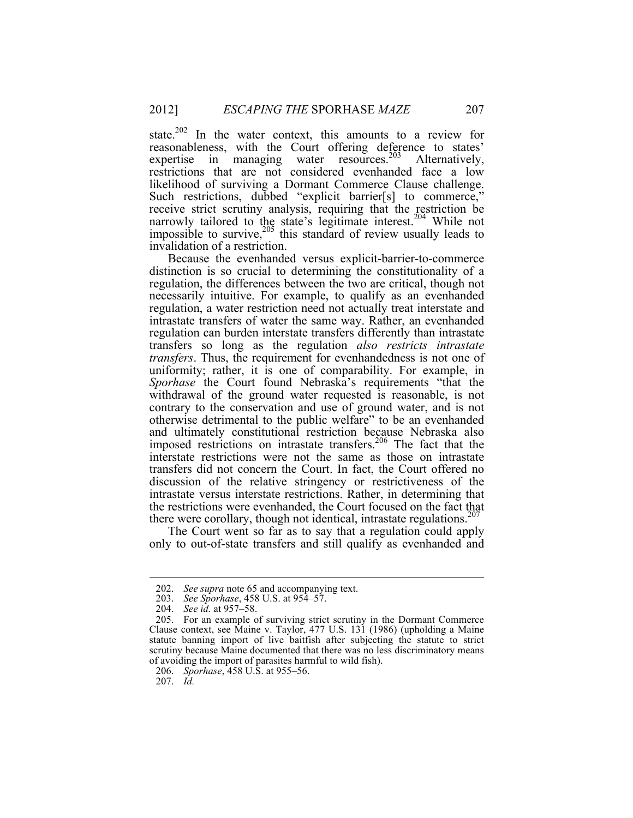state.<sup>202</sup> In the water context, this amounts to a review for reasonableness, with the Court offering deference to states' expertise in managing water resources.<sup>203</sup> Alternatively, restrictions that are not considered evenhanded face a low likelihood of surviving a Dormant Commerce Clause challenge. Such restrictions, dubbed "explicit barrier[s] to commerce," receive strict scrutiny analysis, requiring that the restriction be narrowly tailored to the state's legitimate interest.<sup>204</sup> While not impossible to survive, $205$  this standard of review usually leads to invalidation of a restriction.

Because the evenhanded versus explicit-barrier-to-commerce distinction is so crucial to determining the constitutionality of a regulation, the differences between the two are critical, though not necessarily intuitive. For example, to qualify as an evenhanded regulation, a water restriction need not actually treat interstate and intrastate transfers of water the same way. Rather, an evenhanded regulation can burden interstate transfers differently than intrastate transfers so long as the regulation *also restricts intrastate transfers*. Thus, the requirement for evenhandedness is not one of uniformity; rather, it is one of comparability. For example, in *Sporhase* the Court found Nebraska's requirements "that the withdrawal of the ground water requested is reasonable, is not contrary to the conservation and use of ground water, and is not otherwise detrimental to the public welfare" to be an evenhanded and ultimately constitutional restriction because Nebraska also imposed restrictions on intrastate transfers.<sup>206</sup> The fact that the interstate restrictions were not the same as those on intrastate transfers did not concern the Court. In fact, the Court offered no discussion of the relative stringency or restrictiveness of the intrastate versus interstate restrictions. Rather, in determining that the restrictions were evenhanded, the Court focused on the fact that there were corollary, though not identical, intrastate regulations.<sup>207</sup>

The Court went so far as to say that a regulation could apply only to out-of-state transfers and still qualify as evenhanded and

207. *Id.*

 <sup>202.</sup> *See supra* note 65 and accompanying text.

<sup>203.</sup> *See Sporhase*, 458 U.S. at 954–57.

<sup>204.</sup> *See id.* at 957–58.

<sup>205.</sup> For an example of surviving strict scrutiny in the Dormant Commerce Clause context, see Maine v. Taylor, 477 U.S. 131 (1986) (upholding a Maine statute banning import of live baitfish after subjecting the statute to strict scrutiny because Maine documented that there was no less discriminatory means of avoiding the import of parasites harmful to wild fish).

<sup>206.</sup> *Sporhase*, 458 U.S. at 955–56.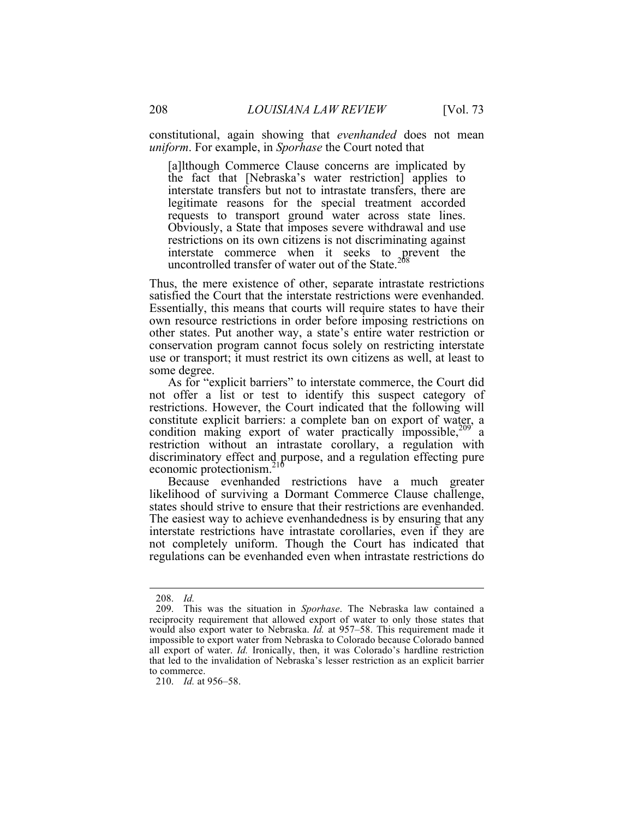constitutional, again showing that *evenhanded* does not mean *uniform*. For example, in *Sporhase* the Court noted that

[a]lthough Commerce Clause concerns are implicated by the fact that [Nebraska's water restriction] applies to interstate transfers but not to intrastate transfers, there are legitimate reasons for the special treatment accorded requests to transport ground water across state lines. Obviously, a State that imposes severe withdrawal and use restrictions on its own citizens is not discriminating against interstate commerce when it seeks to prevent the uncontrolled transfer of water out of the State.<sup>208</sup>

Thus, the mere existence of other, separate intrastate restrictions satisfied the Court that the interstate restrictions were evenhanded. Essentially, this means that courts will require states to have their own resource restrictions in order before imposing restrictions on other states. Put another way, a state's entire water restriction or conservation program cannot focus solely on restricting interstate use or transport; it must restrict its own citizens as well, at least to some degree.

As for "explicit barriers" to interstate commerce, the Court did not offer a list or test to identify this suspect category of restrictions. However, the Court indicated that the following will constitute explicit barriers: a complete ban on export of water, a condition making export of water practically impossible,<sup>209</sup> a restriction without an intrastate corollary, a regulation with discriminatory effect and purpose, and a regulation effecting pure economic protectionism.<sup>210</sup>

Because evenhanded restrictions have a much greater likelihood of surviving a Dormant Commerce Clause challenge, states should strive to ensure that their restrictions are evenhanded. The easiest way to achieve evenhandedness is by ensuring that any interstate restrictions have intrastate corollaries, even if they are not completely uniform. Though the Court has indicated that regulations can be evenhanded even when intrastate restrictions do

 <sup>208.</sup> *Id.*

<sup>209.</sup> This was the situation in *Sporhase*. The Nebraska law contained a reciprocity requirement that allowed export of water to only those states that would also export water to Nebraska. *Id.* at 957–58. This requirement made it impossible to export water from Nebraska to Colorado because Colorado banned all export of water. *Id.* Ironically, then, it was Colorado's hardline restriction that led to the invalidation of Nebraska's lesser restriction as an explicit barrier to commerce.

<sup>210.</sup> *Id.* at 956–58.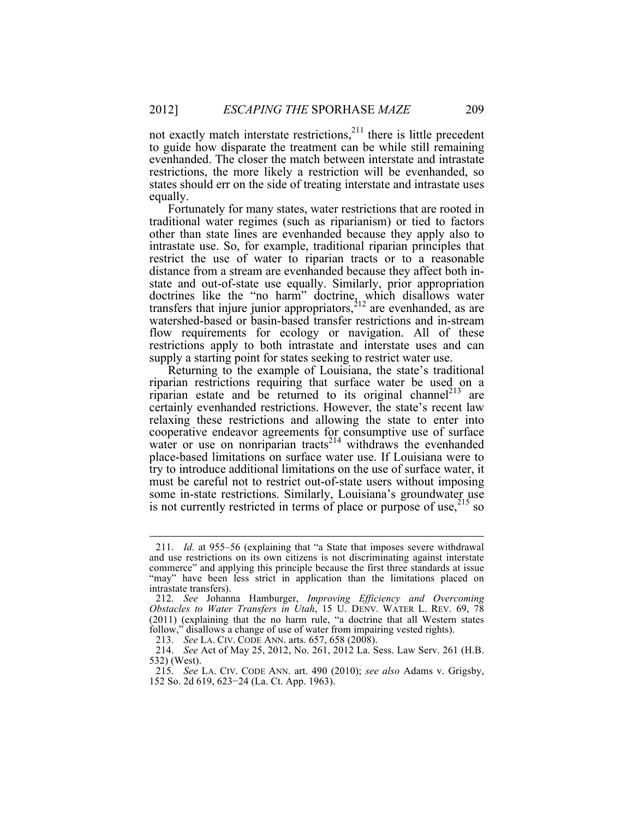not exactly match interstate restrictions, $2^{11}$  there is little precedent to guide how disparate the treatment can be while still remaining evenhanded. The closer the match between interstate and intrastate restrictions, the more likely a restriction will be evenhanded, so states should err on the side of treating interstate and intrastate uses equally.

Fortunately for many states, water restrictions that are rooted in traditional water regimes (such as riparianism) or tied to factors other than state lines are evenhanded because they apply also to intrastate use. So, for example, traditional riparian principles that restrict the use of water to riparian tracts or to a reasonable distance from a stream are evenhanded because they affect both instate and out-of-state use equally. Similarly, prior appropriation doctrines like the "no harm" doctrine, which disallows water transfers that injure junior appropriators, $2^{12}$  are evenhanded, as are watershed-based or basin-based transfer restrictions and in-stream flow requirements for ecology or navigation. All of these restrictions apply to both intrastate and interstate uses and can supply a starting point for states seeking to restrict water use.

Returning to the example of Louisiana, the state's traditional riparian restrictions requiring that surface water be used on a riparian estate and be returned to its original channel<sup> $213$ </sup> are certainly evenhanded restrictions. However, the state's recent law relaxing these restrictions and allowing the state to enter into cooperative endeavor agreements for consumptive use of surface water or use on nonriparian tracts<sup>214</sup> withdraws the evenhanded place-based limitations on surface water use. If Louisiana were to try to introduce additional limitations on the use of surface water, it must be careful not to restrict out-of-state users without imposing some in-state restrictions. Similarly, Louisiana's groundwater use is not currently restricted in terms of place or purpose of use,  $215$  so

 <sup>211.</sup> *Id.* at 955–56 (explaining that "a State that imposes severe withdrawal and use restrictions on its own citizens is not discriminating against interstate commerce" and applying this principle because the first three standards at issue "may" have been less strict in application than the limitations placed on intrastate transfers).

<sup>212.</sup> *See* Johanna Hamburger, *Improving Efficiency and Overcoming Obstacles to Water Transfers in Utah*, 15 U. DENV. WATER L. REV. 69, 78 (2011) (explaining that the no harm rule, "a doctrine that all Western states follow," disallows a change of use of water from impairing vested rights).

<sup>213.</sup> *See* LA. CIV. CODE ANN. arts. 657, 658 (2008).

<sup>214.</sup> *See* Act of May 25, 2012, No. 261, 2012 La. Sess. Law Serv. 261 (H.B. 532) (West).

<sup>215.</sup> *See* LA. CIV. CODE ANN. art. 490 (2010); *see also* Adams v. Grigsby, 152 So. 2d 619, 623−24 (La. Ct. App. 1963).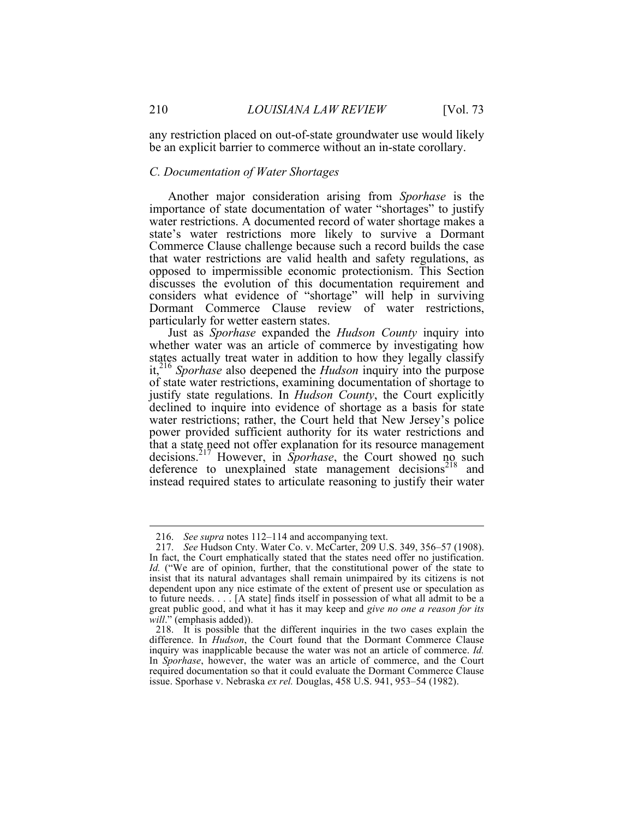any restriction placed on out-of-state groundwater use would likely be an explicit barrier to commerce without an in-state corollary.

### *C. Documentation of Water Shortages*

Another major consideration arising from *Sporhase* is the importance of state documentation of water "shortages" to justify water restrictions. A documented record of water shortage makes a state's water restrictions more likely to survive a Dormant Commerce Clause challenge because such a record builds the case that water restrictions are valid health and safety regulations, as opposed to impermissible economic protectionism. This Section discusses the evolution of this documentation requirement and considers what evidence of "shortage" will help in surviving Dormant Commerce Clause review of water restrictions, particularly for wetter eastern states.

Just as *Sporhase* expanded the *Hudson County* inquiry into whether water was an article of commerce by investigating how states actually treat water in addition to how they legally classify it,216 *Sporhase* also deepened the *Hudson* inquiry into the purpose of state water restrictions, examining documentation of shortage to justify state regulations. In *Hudson County*, the Court explicitly declined to inquire into evidence of shortage as a basis for state water restrictions; rather, the Court held that New Jersey's police power provided sufficient authority for its water restrictions and that a state need not offer explanation for its resource management decisions.<sup>217</sup> However, in *Sporhase*, the Court showed no such deference to unexplained state management decisions<sup>218</sup> and instead required states to articulate reasoning to justify their water

 <sup>216.</sup> *See supra* notes 112–114 and accompanying text.

<sup>217.</sup> *See* Hudson Cnty. Water Co. v. McCarter, 209 U.S. 349, 356–57 (1908). In fact, the Court emphatically stated that the states need offer no justification. *Id.* ("We are of opinion, further, that the constitutional power of the state to insist that its natural advantages shall remain unimpaired by its citizens is not dependent upon any nice estimate of the extent of present use or speculation as to future needs. . . . [A state] finds itself in possession of what all admit to be a great public good, and what it has it may keep and *give no one a reason for its will*." (emphasis added)).

<sup>218.</sup> It is possible that the different inquiries in the two cases explain the difference. In *Hudson*, the Court found that the Dormant Commerce Clause inquiry was inapplicable because the water was not an article of commerce. *Id.*  In *Sporhase*, however, the water was an article of commerce, and the Court required documentation so that it could evaluate the Dormant Commerce Clause issue. Sporhase v. Nebraska *ex rel.* Douglas, 458 U.S. 941, 953–54 (1982).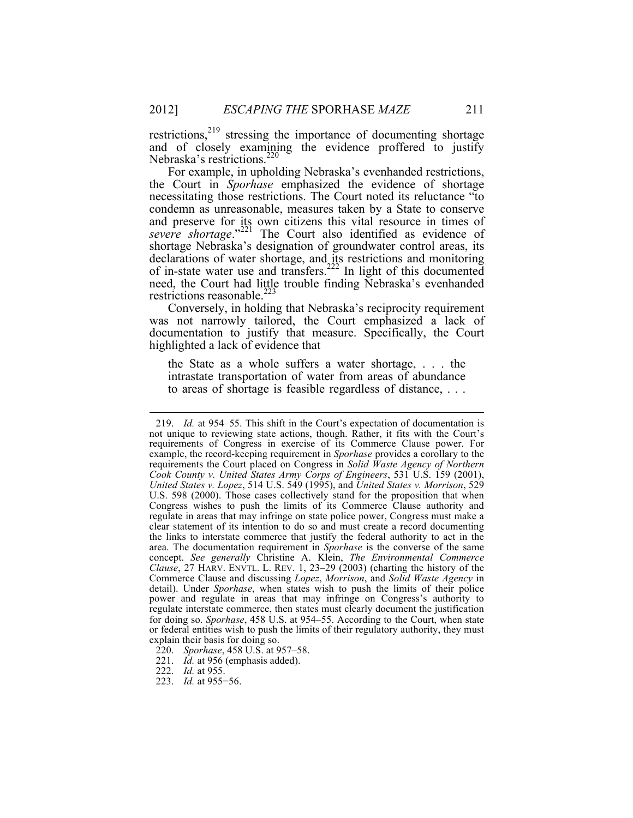restrictions, $2^{19}$  stressing the importance of documenting shortage and of closely examining the evidence proffered to justify Nebraska's restrictions.<sup>220</sup>

For example, in upholding Nebraska's evenhanded restrictions, the Court in *Sporhase* emphasized the evidence of shortage necessitating those restrictions. The Court noted its reluctance "to condemn as unreasonable, measures taken by a State to conserve and preserve for its own citizens this vital resource in times of *severe shortage*."221 The Court also identified as evidence of shortage Nebraska's designation of groundwater control areas, its declarations of water shortage, and its restrictions and monitoring of in-state water use and transfers.<sup>222</sup> In light of this documented need, the Court had little trouble finding Nebraska's evenhanded restrictions reasonable.<sup>223</sup>

Conversely, in holding that Nebraska's reciprocity requirement was not narrowly tailored, the Court emphasized a lack of documentation to justify that measure. Specifically, the Court highlighted a lack of evidence that

the State as a whole suffers a water shortage, . . . the intrastate transportation of water from areas of abundance to areas of shortage is feasible regardless of distance, . . .

 <sup>219.</sup> *Id.* at 954–55. This shift in the Court's expectation of documentation is not unique to reviewing state actions, though. Rather, it fits with the Court's requirements of Congress in exercise of its Commerce Clause power. For example, the record-keeping requirement in *Sporhase* provides a corollary to the requirements the Court placed on Congress in *Solid Waste Agency of Northern Cook County v. United States Army Corps of Engineers*, 531 U.S. 159 (2001), *United States v. Lopez*, 514 U.S. 549 (1995), and *United States v. Morrison*, 529 U.S. 598 (2000). Those cases collectively stand for the proposition that when Congress wishes to push the limits of its Commerce Clause authority and regulate in areas that may infringe on state police power, Congress must make a clear statement of its intention to do so and must create a record documenting the links to interstate commerce that justify the federal authority to act in the area. The documentation requirement in *Sporhase* is the converse of the same concept. *See generally* Christine A. Klein, *The Environmental Commerce Clause*, 27 HARV. ENVTL. L. REV. 1, 23–29 (2003) (charting the history of the Commerce Clause and discussing *Lopez*, *Morrison*, and *Solid Waste Agency* in detail). Under *Sporhase*, when states wish to push the limits of their police power and regulate in areas that may infringe on Congress's authority to regulate interstate commerce, then states must clearly document the justification for doing so. *Sporhase*, 458 U.S. at 954–55. According to the Court, when state or federal entities wish to push the limits of their regulatory authority, they must explain their basis for doing so.

<sup>220.</sup> *Sporhase*, 458 U.S. at 957–58.

<sup>221.</sup> *Id.* at 956 (emphasis added).

<sup>222.</sup> *Id.* at 955.

<sup>223.</sup> *Id.* at 955−56.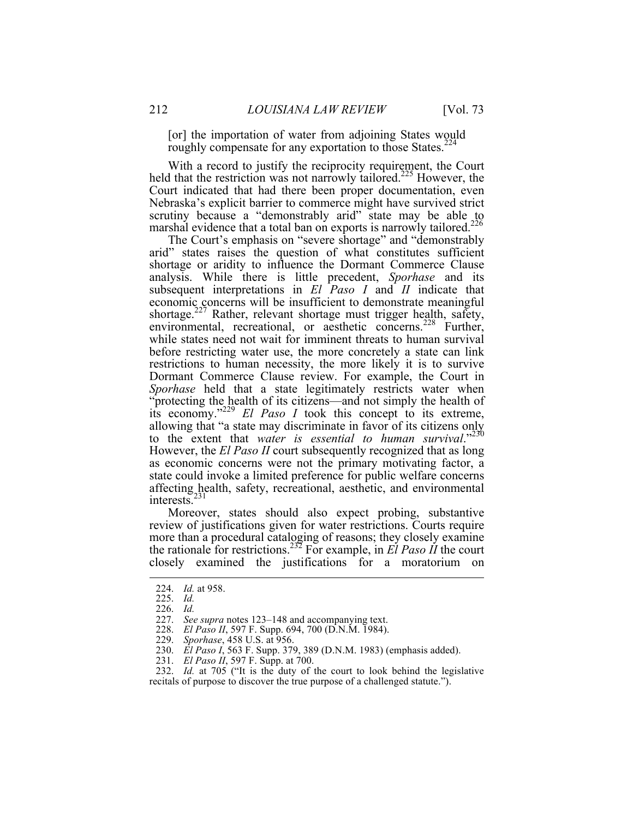[or] the importation of water from adjoining States would roughly compensate for any exportation to those States.<sup>224</sup>

With a record to justify the reciprocity requirement, the Court held that the restriction was not narrowly tailored.<sup>225</sup> However, the Court indicated that had there been proper documentation, even Nebraska's explicit barrier to commerce might have survived strict scrutiny because a "demonstrably arid" state may be able to marshal evidence that a total ban on exports is narrowly tailored.<sup>226</sup>

The Court's emphasis on "severe shortage" and "demonstrably arid" states raises the question of what constitutes sufficient shortage or aridity to influence the Dormant Commerce Clause analysis. While there is little precedent, *Sporhase* and its subsequent interpretations in *El Paso I* and *II* indicate that economic concerns will be insufficient to demonstrate meaningful shortage.<sup>227</sup> Rather, relevant shortage must trigger health, safety, environmental, recreational, or aesthetic concerns.<sup>228</sup> Further, while states need not wait for imminent threats to human survival before restricting water use, the more concretely a state can link restrictions to human necessity, the more likely it is to survive Dormant Commerce Clause review. For example, the Court in *Sporhase* held that a state legitimately restricts water when "protecting the health of its citizens—and not simply the health of its economy."<sup>229</sup> *El Paso I* took this concept to its extreme, allowing that "a state may discriminate in favor of its citizens only to the extent that *water is essential to human survival*."230 However, the *El Paso II* court subsequently recognized that as long as economic concerns were not the primary motivating factor, a state could invoke a limited preference for public welfare concerns affecting health, safety, recreational, aesthetic, and environmental interests.<sup>231</sup>

Moreover, states should also expect probing, substantive review of justifications given for water restrictions. Courts require more than a procedural cataloging of reasons; they closely examine the rationale for restrictions.<sup>232</sup> For example, in *El Paso II* the court closely examined the justifications for a moratorium on

 <sup>224.</sup> *Id.* at 958.

<sup>225.</sup> *Id.*

<sup>226.</sup> *Id.*

<sup>227.</sup> *See supra* notes 123–148 and accompanying text.

<sup>228.</sup> *El Paso II*, 597 F. Supp. 694, 700 (D.N.M. 1984).

<sup>229.</sup> *Sporhase*, 458 U.S. at 956.

<sup>230.</sup> *El Paso I*, 563 F. Supp. 379, 389 (D.N.M. 1983) (emphasis added).

<sup>231.</sup> *El Paso II*, 597 F. Supp. at 700.

<sup>232.</sup> *Id.* at 705 ("It is the duty of the court to look behind the legislative recitals of purpose to discover the true purpose of a challenged statute.").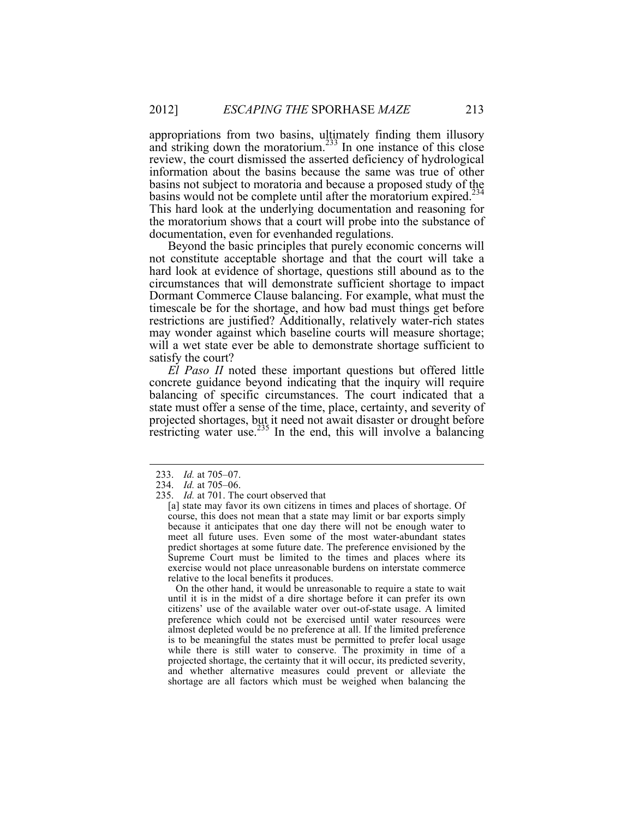appropriations from two basins, ultimately finding them illusory and striking down the moratorium.<sup>233</sup> In one instance of this close review, the court dismissed the asserted deficiency of hydrological information about the basins because the same was true of other basins not subject to moratoria and because a proposed study of the basins would not be complete until after the moratorium expired.<sup>234</sup> This hard look at the underlying documentation and reasoning for the moratorium shows that a court will probe into the substance of documentation, even for evenhanded regulations.

Beyond the basic principles that purely economic concerns will not constitute acceptable shortage and that the court will take a hard look at evidence of shortage, questions still abound as to the circumstances that will demonstrate sufficient shortage to impact Dormant Commerce Clause balancing. For example, what must the timescale be for the shortage, and how bad must things get before restrictions are justified? Additionally, relatively water-rich states may wonder against which baseline courts will measure shortage; will a wet state ever be able to demonstrate shortage sufficient to satisfy the court?

*El Paso II* noted these important questions but offered little concrete guidance beyond indicating that the inquiry will require balancing of specific circumstances. The court indicated that a state must offer a sense of the time, place, certainty, and severity of projected shortages, but it need not await disaster or drought before restricting water use.<sup>235</sup> In the end, this will involve a balancing

 On the other hand, it would be unreasonable to require a state to wait until it is in the midst of a dire shortage before it can prefer its own citizens' use of the available water over out-of-state usage. A limited preference which could not be exercised until water resources were almost depleted would be no preference at all. If the limited preference is to be meaningful the states must be permitted to prefer local usage while there is still water to conserve. The proximity in time of a projected shortage, the certainty that it will occur, its predicted severity, and whether alternative measures could prevent or alleviate the shortage are all factors which must be weighed when balancing the

 <sup>233.</sup> *Id.* at 705–07.

<sup>234.</sup> *Id.* at 705–06.

<sup>235.</sup> *Id.* at 701. The court observed that

<sup>[</sup>a] state may favor its own citizens in times and places of shortage. Of course, this does not mean that a state may limit or bar exports simply because it anticipates that one day there will not be enough water to meet all future uses. Even some of the most water-abundant states predict shortages at some future date. The preference envisioned by the Supreme Court must be limited to the times and places where its exercise would not place unreasonable burdens on interstate commerce relative to the local benefits it produces.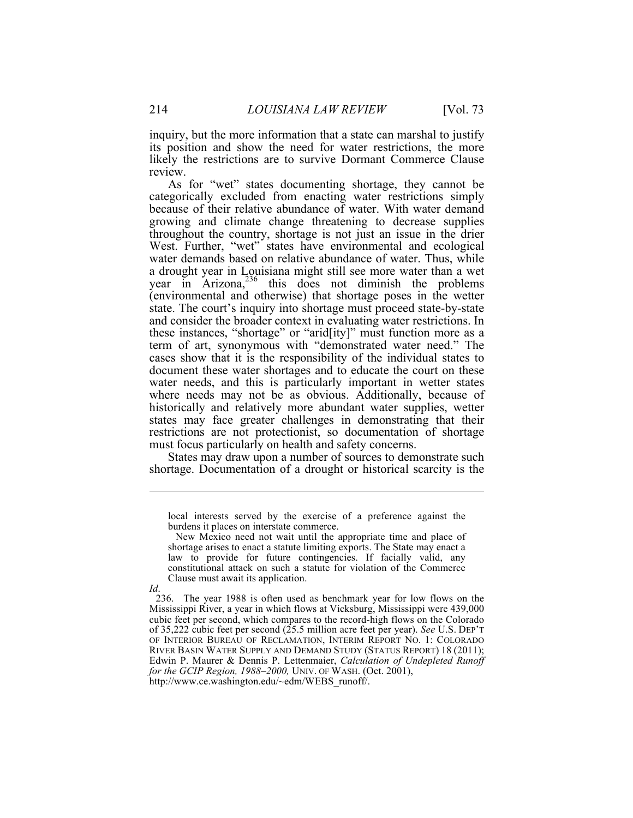inquiry, but the more information that a state can marshal to justify its position and show the need for water restrictions, the more likely the restrictions are to survive Dormant Commerce Clause review.

As for "wet" states documenting shortage, they cannot be categorically excluded from enacting water restrictions simply because of their relative abundance of water. With water demand growing and climate change threatening to decrease supplies throughout the country, shortage is not just an issue in the drier West. Further, "wet" states have environmental and ecological water demands based on relative abundance of water. Thus, while a drought year in Louisiana might still see more water than a wet year in Arizona,<sup>236</sup> this does not diminish the problems (environmental and otherwise) that shortage poses in the wetter state. The court's inquiry into shortage must proceed state-by-state and consider the broader context in evaluating water restrictions. In these instances, "shortage" or "arid[ity]" must function more as a term of art, synonymous with "demonstrated water need." The cases show that it is the responsibility of the individual states to document these water shortages and to educate the court on these water needs, and this is particularly important in wetter states where needs may not be as obvious. Additionally, because of historically and relatively more abundant water supplies, wetter states may face greater challenges in demonstrating that their restrictions are not protectionist, so documentation of shortage must focus particularly on health and safety concerns.

States may draw upon a number of sources to demonstrate such shortage. Documentation of a drought or historical scarcity is the

*Id*.

 $\overline{a}$ 

local interests served by the exercise of a preference against the burdens it places on interstate commerce.

New Mexico need not wait until the appropriate time and place of shortage arises to enact a statute limiting exports. The State may enact a law to provide for future contingencies. If facially valid, any constitutional attack on such a statute for violation of the Commerce Clause must await its application.

<sup>236.</sup> The year 1988 is often used as benchmark year for low flows on the Mississippi River, a year in which flows at Vicksburg, Mississippi were 439,000 cubic feet per second, which compares to the record-high flows on the Colorado of 35,222 cubic feet per second (25.5 million acre feet per year). *See* U.S. DEP'T OF INTERIOR BUREAU OF RECLAMATION, INTERIM REPORT NO. 1: COLORADO RIVER BASIN WATER SUPPLY AND DEMAND STUDY (STATUS REPORT) 18 (2011); Edwin P. Maurer & Dennis P. Lettenmaier, *Calculation of Undepleted Runoff for the GCIP Region, 1988–2000,* UNIV. OF WASH. (Oct. 2001), http://www.ce.washington.edu/~edm/WEBS\_runoff/.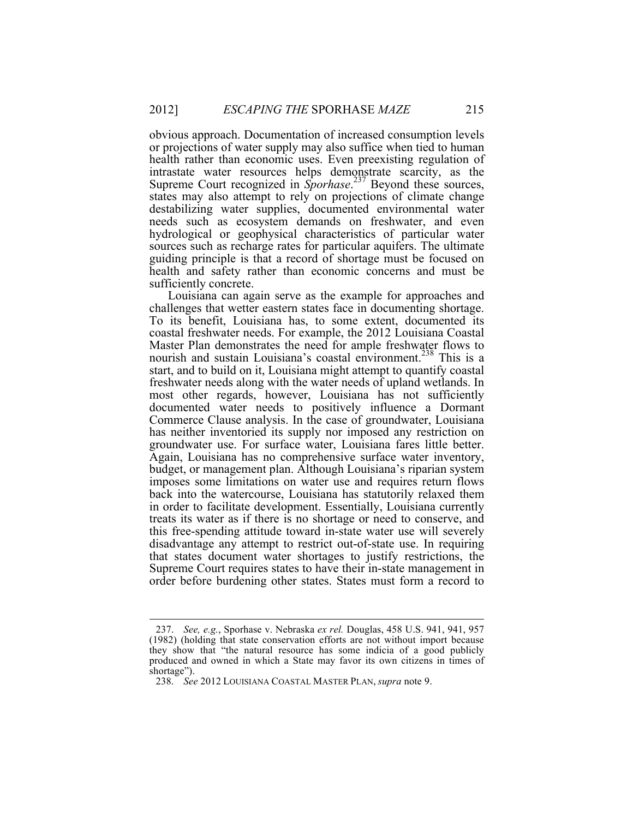obvious approach. Documentation of increased consumption levels or projections of water supply may also suffice when tied to human health rather than economic uses. Even preexisting regulation of intrastate water resources helps demonstrate scarcity, as the Supreme Court recognized in *Sporhase*. <sup>237</sup> Beyond these sources, states may also attempt to rely on projections of climate change destabilizing water supplies, documented environmental water needs such as ecosystem demands on freshwater, and even hydrological or geophysical characteristics of particular water sources such as recharge rates for particular aquifers. The ultimate guiding principle is that a record of shortage must be focused on health and safety rather than economic concerns and must be sufficiently concrete.

Louisiana can again serve as the example for approaches and challenges that wetter eastern states face in documenting shortage. To its benefit, Louisiana has, to some extent, documented its coastal freshwater needs. For example, the 2012 Louisiana Coastal Master Plan demonstrates the need for ample freshwater flows to nourish and sustain Louisiana's coastal environment.<sup>238</sup> This is a start, and to build on it, Louisiana might attempt to quantify coastal freshwater needs along with the water needs of upland wetlands. In most other regards, however, Louisiana has not sufficiently documented water needs to positively influence a Dormant Commerce Clause analysis. In the case of groundwater, Louisiana has neither inventoried its supply nor imposed any restriction on groundwater use. For surface water, Louisiana fares little better. Again, Louisiana has no comprehensive surface water inventory, budget, or management plan. Although Louisiana's riparian system imposes some limitations on water use and requires return flows back into the watercourse, Louisiana has statutorily relaxed them in order to facilitate development. Essentially, Louisiana currently treats its water as if there is no shortage or need to conserve, and this free-spending attitude toward in-state water use will severely disadvantage any attempt to restrict out-of-state use. In requiring that states document water shortages to justify restrictions, the Supreme Court requires states to have their in-state management in order before burdening other states. States must form a record to

 <sup>237.</sup> *See, e.g.*, Sporhase v. Nebraska *ex rel.* Douglas, 458 U.S. 941, 941, 957 (1982) (holding that state conservation efforts are not without import because they show that "the natural resource has some indicia of a good publicly produced and owned in which a State may favor its own citizens in times of shortage").

<sup>238.</sup> *See* 2012 LOUISIANA COASTAL MASTER PLAN, *supra* note 9.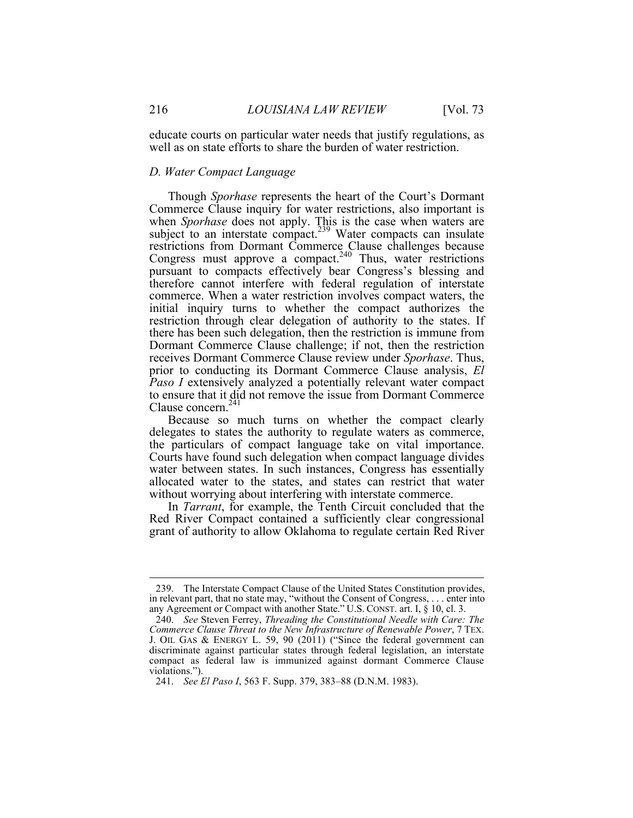educate courts on particular water needs that justify regulations, as well as on state efforts to share the burden of water restriction.

### *D. Water Compact Language*

Though *Sporhase* represents the heart of the Court's Dormant Commerce Clause inquiry for water restrictions, also important is when *Sporhase* does not apply. This is the case when waters are subject to an interstate compact.<sup>239</sup> Water compacts can insulate restrictions from Dormant Commerce Clause challenges because Congress must approve a compact. $240$  Thus, water restrictions pursuant to compacts effectively bear Congress's blessing and therefore cannot interfere with federal regulation of interstate commerce. When a water restriction involves compact waters, the initial inquiry turns to whether the compact authorizes the restriction through clear delegation of authority to the states. If there has been such delegation, then the restriction is immune from Dormant Commerce Clause challenge; if not, then the restriction receives Dormant Commerce Clause review under *Sporhase*. Thus, prior to conducting its Dormant Commerce Clause analysis, *El Paso I* extensively analyzed a potentially relevant water compact to ensure that it did not remove the issue from Dormant Commerce Clause concern.<sup>241</sup>

Because so much turns on whether the compact clearly delegates to states the authority to regulate waters as commerce, the particulars of compact language take on vital importance. Courts have found such delegation when compact language divides water between states. In such instances, Congress has essentially allocated water to the states, and states can restrict that water without worrying about interfering with interstate commerce.

In *Tarrant*, for example, the Tenth Circuit concluded that the Red River Compact contained a sufficiently clear congressional grant of authority to allow Oklahoma to regulate certain Red River

 <sup>239.</sup> The Interstate Compact Clause of the United States Constitution provides, in relevant part, that no state may, "without the Consent of Congress, . . . enter into any Agreement or Compact with another State." U.S. CONST. art. I, § 10, cl. 3.

<sup>240.</sup> *See* Steven Ferrey, *Threading the Constitutional Needle with Care: The Commerce Clause Threat to the New Infrastructure of Renewable Power*, 7 TEX. J. OIL GAS & ENERGY L. 59, 90 (2011) ("Since the federal government can discriminate against particular states through federal legislation, an interstate compact as federal law is immunized against dormant Commerce Clause violations.").

<sup>241.</sup> *See El Paso I*, 563 F. Supp. 379, 383–88 (D.N.M. 1983).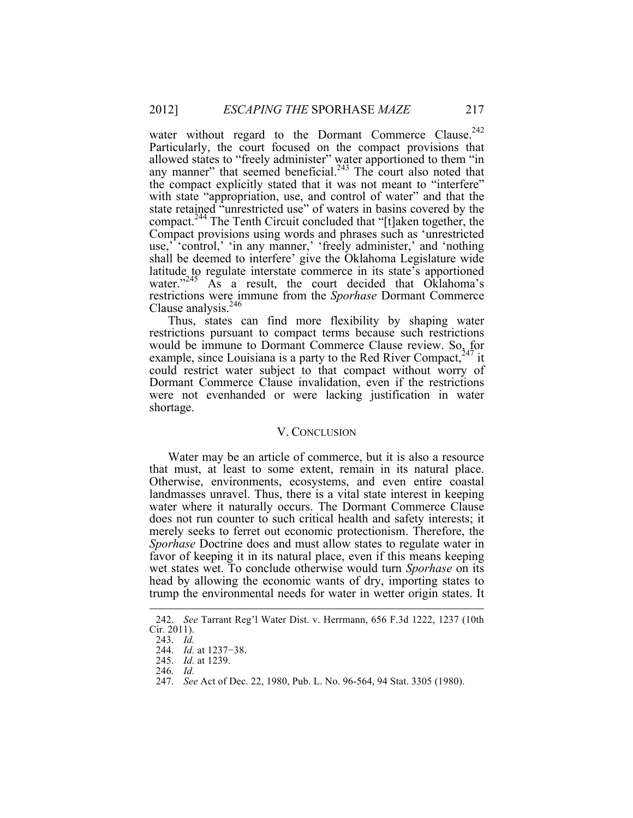water without regard to the Dormant Commerce Clause.<sup>242</sup> Particularly, the court focused on the compact provisions that allowed states to "freely administer" water apportioned to them "in any manner" that seemed beneficial. $243$  The court also noted that the compact explicitly stated that it was not meant to "interfere" with state "appropriation, use, and control of water" and that the state retained "unrestricted use" of waters in basins covered by the compact.<sup>244</sup> The Tenth Circuit concluded that "[t]aken together, the Compact provisions using words and phrases such as 'unrestricted use,' 'control,' 'in any manner,' 'freely administer,' and 'nothing shall be deemed to interfere' give the Oklahoma Legislature wide latitude to regulate interstate commerce in its state's apportioned water."<sup>245</sup> As a result, the court decided that Oklahoma's restrictions were immune from the *Sporhase* Dormant Commerce Clause analysis. $246$ 

Thus, states can find more flexibility by shaping water restrictions pursuant to compact terms because such restrictions would be immune to Dormant Commerce Clause review. So, for example, since Louisiana is a party to the Red River Compact,  $247$  it could restrict water subject to that compact without worry of Dormant Commerce Clause invalidation, even if the restrictions were not evenhanded or were lacking justification in water shortage.

## V. CONCLUSION

Water may be an article of commerce, but it is also a resource that must, at least to some extent, remain in its natural place. Otherwise, environments, ecosystems, and even entire coastal landmasses unravel. Thus, there is a vital state interest in keeping water where it naturally occurs. The Dormant Commerce Clause does not run counter to such critical health and safety interests; it merely seeks to ferret out economic protectionism. Therefore, the *Sporhase* Doctrine does and must allow states to regulate water in favor of keeping it in its natural place, even if this means keeping wet states wet. To conclude otherwise would turn *Sporhase* on its head by allowing the economic wants of dry, importing states to trump the environmental needs for water in wetter origin states. It

 <sup>242.</sup> *See* Tarrant Reg'l Water Dist. v. Herrmann, 656 F.3d 1222, 1237 (10th Cir. 2011).

<sup>243.</sup> *Id.*

<sup>244.</sup> *Id.* at 1237−38.

<sup>245.</sup> *Id.* at 1239.

<sup>246.</sup> *Id.*

<sup>247.</sup> *See* Act of Dec. 22, 1980, Pub. L. No. 96-564, 94 Stat. 3305 (1980).